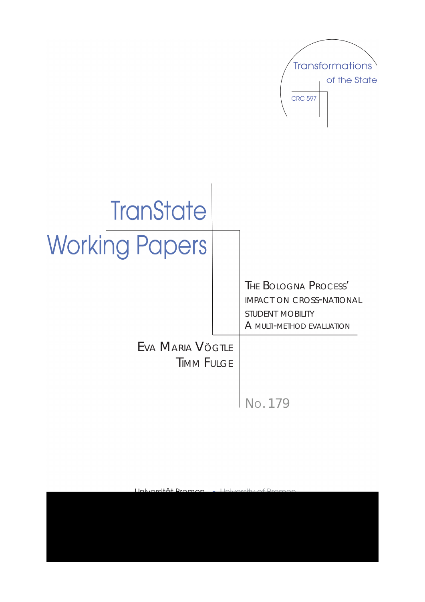THE BOLOGNA PROCESS' IMpACt ON CROSS-NAtIONAL STUDENT MOBILITY A MULtI-MEtHOD EVALUAtION

EVA MARIA VÖGtLE TIMM FULGE

NO. 179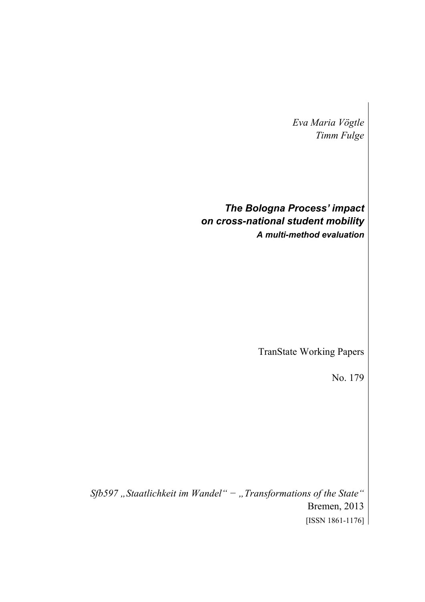*Eva Maria Vögtle Timm Fulge* 

*The Bologna Process' impact on cross-national student mobility A multi-method evaluation* 

TranState Working Papers

No. 179

*Sfb597 "Staatlichkeit im Wandel" − "Transformations of the State"*  Bremen, 2013 [ISSN 1861-1176]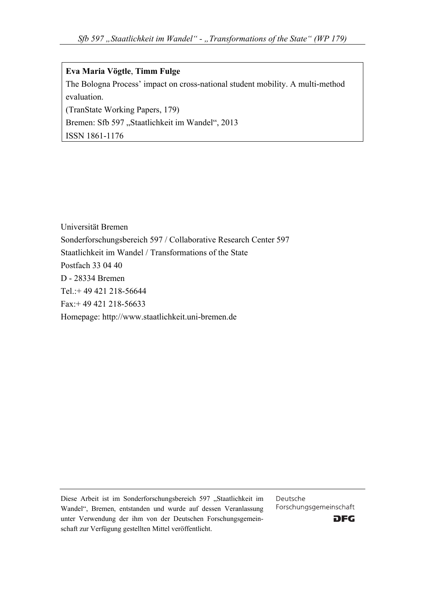### **Eva Maria Vögtle**, **Timm Fulge**

The Bologna Process' impact on cross-national student mobility. A multi-method evaluation.

(TranState Working Papers, 179)

Bremen: Sfb 597 "Staatlichkeit im Wandel", 2013

ISSN 1861-1176

Universität Bremen Sonderforschungsbereich 597 / Collaborative Research Center 597 Staatlichkeit im Wandel / Transformations of the State Postfach 33 04 40 D - 28334 Bremen Tel.:+ 49 421 218-56644 Fax:+ 49 421 218-56633 Homepage: http://www.staatlichkeit.uni-bremen.de

Diese Arbeit ist im Sonderforschungsbereich 597 "Staatlichkeit im Wandel", Bremen, entstanden und wurde auf dessen Veranlassung unter Verwendung der ihm von der Deutschen Forschungsgemeinschaft zur Verfügung gestellten Mittel veröffentlicht.

Deutsche Forschungsgemeinschaft

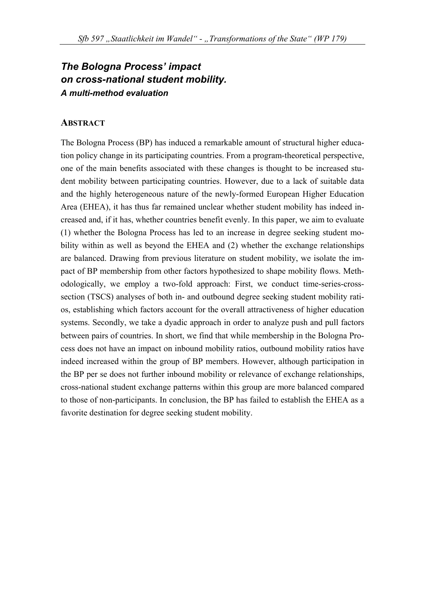# *The Bologna Process' impact on cross-national student mobility. A multi-method evaluation*

### **ABSTRACT**

The Bologna Process (BP) has induced a remarkable amount of structural higher education policy change in its participating countries. From a program-theoretical perspective, one of the main benefits associated with these changes is thought to be increased student mobility between participating countries. However, due to a lack of suitable data and the highly heterogeneous nature of the newly-formed European Higher Education Area (EHEA), it has thus far remained unclear whether student mobility has indeed increased and, if it has, whether countries benefit evenly. In this paper, we aim to evaluate (1) whether the Bologna Process has led to an increase in degree seeking student mobility within as well as beyond the EHEA and (2) whether the exchange relationships are balanced. Drawing from previous literature on student mobility, we isolate the impact of BP membership from other factors hypothesized to shape mobility flows. Methodologically, we employ a two-fold approach: First, we conduct time-series-crosssection (TSCS) analyses of both in- and outbound degree seeking student mobility ratios, establishing which factors account for the overall attractiveness of higher education systems. Secondly, we take a dyadic approach in order to analyze push and pull factors between pairs of countries. In short, we find that while membership in the Bologna Process does not have an impact on inbound mobility ratios, outbound mobility ratios have indeed increased within the group of BP members. However, although participation in the BP per se does not further inbound mobility or relevance of exchange relationships, cross-national student exchange patterns within this group are more balanced compared to those of non-participants. In conclusion, the BP has failed to establish the EHEA as a favorite destination for degree seeking student mobility.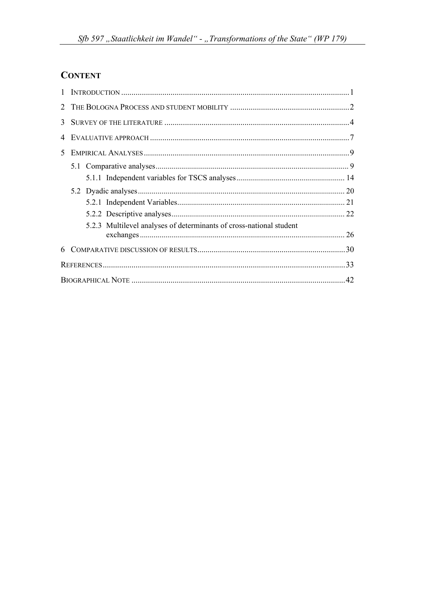# **CONTENT**

| $\mathcal{D}$ |                                                                     |  |
|---------------|---------------------------------------------------------------------|--|
| 3             |                                                                     |  |
| 4             |                                                                     |  |
| 5.            |                                                                     |  |
|               |                                                                     |  |
|               |                                                                     |  |
|               |                                                                     |  |
|               |                                                                     |  |
|               |                                                                     |  |
|               | 5.2.3 Multilevel analyses of determinants of cross-national student |  |
|               |                                                                     |  |
|               |                                                                     |  |
|               |                                                                     |  |
|               |                                                                     |  |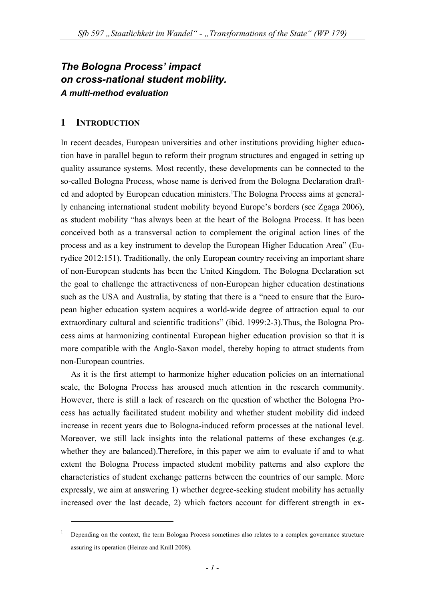# *The Bologna Process' impact on cross-national student mobility. A multi-method evaluation*

# **1 INTRODUCTION**

1

In recent decades, European universities and other institutions providing higher education have in parallel begun to reform their program structures and engaged in setting up quality assurance systems. Most recently, these developments can be connected to the so-called Bologna Process, whose name is derived from the Bologna Declaration drafted and adopted by European education ministers. The Bologna Process aims at generally enhancing international student mobility beyond Europe's borders (see Zgaga 2006), as student mobility "has always been at the heart of the Bologna Process. It has been conceived both as a transversal action to complement the original action lines of the process and as a key instrument to develop the European Higher Education Area" (Eurydice 2012:151). Traditionally, the only European country receiving an important share of non-European students has been the United Kingdom. The Bologna Declaration set the goal to challenge the attractiveness of non-European higher education destinations such as the USA and Australia, by stating that there is a "need to ensure that the European higher education system acquires a world-wide degree of attraction equal to our extraordinary cultural and scientific traditions" (ibid. 1999:2-3).Thus, the Bologna Process aims at harmonizing continental European higher education provision so that it is more compatible with the Anglo-Saxon model, thereby hoping to attract students from non-European countries.

As it is the first attempt to harmonize higher education policies on an international scale, the Bologna Process has aroused much attention in the research community. However, there is still a lack of research on the question of whether the Bologna Process has actually facilitated student mobility and whether student mobility did indeed increase in recent years due to Bologna-induced reform processes at the national level. Moreover, we still lack insights into the relational patterns of these exchanges (e.g. whether they are balanced).Therefore, in this paper we aim to evaluate if and to what extent the Bologna Process impacted student mobility patterns and also explore the characteristics of student exchange patterns between the countries of our sample. More expressly, we aim at answering 1) whether degree-seeking student mobility has actually increased over the last decade, 2) which factors account for different strength in ex-

<sup>1</sup> Depending on the context, the term Bologna Process sometimes also relates to a complex governance structure assuring its operation (Heinze and Knill 2008).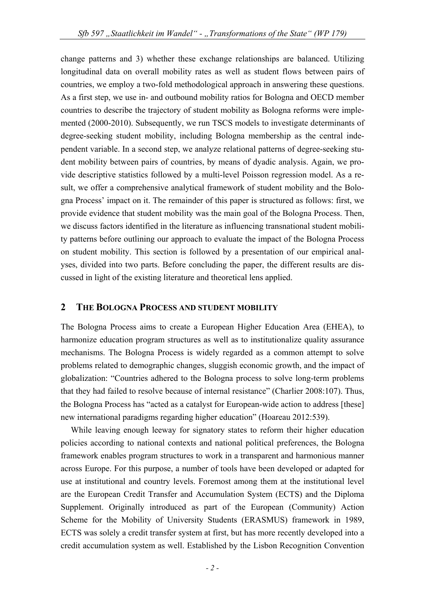change patterns and 3) whether these exchange relationships are balanced. Utilizing longitudinal data on overall mobility rates as well as student flows between pairs of countries, we employ a two-fold methodological approach in answering these questions. As a first step, we use in- and outbound mobility ratios for Bologna and OECD member countries to describe the trajectory of student mobility as Bologna reforms were implemented (2000-2010). Subsequently, we run TSCS models to investigate determinants of degree-seeking student mobility, including Bologna membership as the central independent variable. In a second step, we analyze relational patterns of degree-seeking student mobility between pairs of countries, by means of dyadic analysis. Again, we provide descriptive statistics followed by a multi-level Poisson regression model. As a result, we offer a comprehensive analytical framework of student mobility and the Bologna Process' impact on it. The remainder of this paper is structured as follows: first, we provide evidence that student mobility was the main goal of the Bologna Process. Then, we discuss factors identified in the literature as influencing transnational student mobility patterns before outlining our approach to evaluate the impact of the Bologna Process on student mobility. This section is followed by a presentation of our empirical analyses, divided into two parts. Before concluding the paper, the different results are discussed in light of the existing literature and theoretical lens applied.

### **2 THE BOLOGNA PROCESS AND STUDENT MOBILITY**

The Bologna Process aims to create a European Higher Education Area (EHEA), to harmonize education program structures as well as to institutionalize quality assurance mechanisms. The Bologna Process is widely regarded as a common attempt to solve problems related to demographic changes, sluggish economic growth, and the impact of globalization: "Countries adhered to the Bologna process to solve long-term problems that they had failed to resolve because of internal resistance" (Charlier 2008:107). Thus, the Bologna Process has "acted as a catalyst for European-wide action to address [these] new international paradigms regarding higher education" (Hoareau 2012:539).

While leaving enough leeway for signatory states to reform their higher education policies according to national contexts and national political preferences, the Bologna framework enables program structures to work in a transparent and harmonious manner across Europe. For this purpose, a number of tools have been developed or adapted for use at institutional and country levels. Foremost among them at the institutional level are the European Credit Transfer and Accumulation System (ECTS) and the Diploma Supplement. Originally introduced as part of the European (Community) Action Scheme for the Mobility of University Students (ERASMUS) framework in 1989, ECTS was solely a credit transfer system at first, but has more recently developed into a credit accumulation system as well. Established by the Lisbon Recognition Convention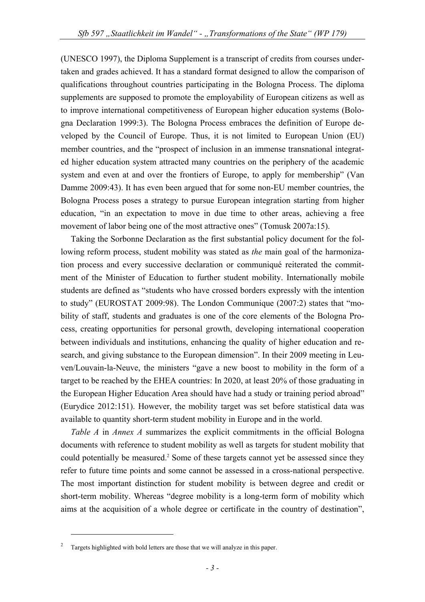(UNESCO 1997), the Diploma Supplement is a transcript of credits from courses undertaken and grades achieved. It has a standard format designed to allow the comparison of qualifications throughout countries participating in the Bologna Process. The diploma supplements are supposed to promote the employability of European citizens as well as to improve international competitiveness of European higher education systems (Bologna Declaration 1999:3). The Bologna Process embraces the definition of Europe developed by the Council of Europe. Thus, it is not limited to European Union (EU) member countries, and the "prospect of inclusion in an immense transnational integrated higher education system attracted many countries on the periphery of the academic system and even at and over the frontiers of Europe, to apply for membership" (Van Damme 2009:43). It has even been argued that for some non-EU member countries, the Bologna Process poses a strategy to pursue European integration starting from higher education, "in an expectation to move in due time to other areas, achieving a free movement of labor being one of the most attractive ones" (Tomusk 2007a:15).

Taking the Sorbonne Declaration as the first substantial policy document for the following reform process, student mobility was stated as *the* main goal of the harmonization process and every successive declaration or communiqué reiterated the commitment of the Minister of Education to further student mobility. Internationally mobile students are defined as "students who have crossed borders expressly with the intention to study" (EUROSTAT 2009:98). The London Communique (2007:2) states that "mobility of staff, students and graduates is one of the core elements of the Bologna Process, creating opportunities for personal growth, developing international cooperation between individuals and institutions, enhancing the quality of higher education and research, and giving substance to the European dimension". In their 2009 meeting in Leuven/Louvain-la-Neuve, the ministers "gave a new boost to mobility in the form of a target to be reached by the EHEA countries: In 2020, at least 20% of those graduating in the European Higher Education Area should have had a study or training period abroad" (Eurydice 2012:151). However, the mobility target was set before statistical data was available to quantity short-term student mobility in Europe and in the world.

*Table A* in *Annex A* summarizes the explicit commitments in the official Bologna documents with reference to student mobility as well as targets for student mobility that could potentially be measured.<sup>2</sup> Some of these targets cannot yet be assessed since they refer to future time points and some cannot be assessed in a cross-national perspective. The most important distinction for student mobility is between degree and credit or short-term mobility. Whereas "degree mobility is a long-term form of mobility which aims at the acquisition of a whole degree or certificate in the country of destination",

 $\overline{2}$ Targets highlighted with bold letters are those that we will analyze in this paper.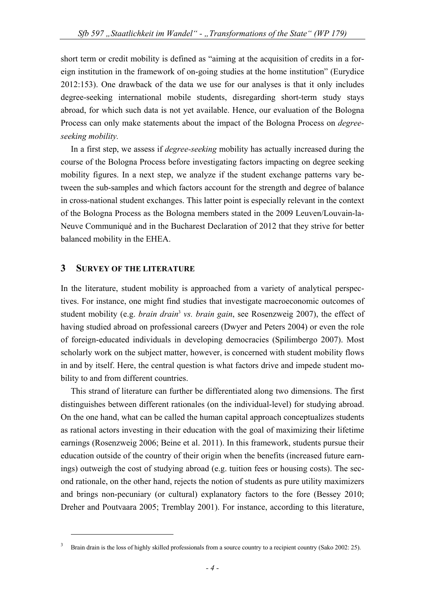short term or credit mobility is defined as "aiming at the acquisition of credits in a foreign institution in the framework of on-going studies at the home institution" (Eurydice 2012:153). One drawback of the data we use for our analyses is that it only includes degree-seeking international mobile students, disregarding short-term study stays abroad, for which such data is not yet available. Hence, our evaluation of the Bologna Process can only make statements about the impact of the Bologna Process on *degreeseeking mobility.*

In a first step, we assess if *degree-seeking* mobility has actually increased during the course of the Bologna Process before investigating factors impacting on degree seeking mobility figures. In a next step, we analyze if the student exchange patterns vary between the sub-samples and which factors account for the strength and degree of balance in cross-national student exchanges. This latter point is especially relevant in the context of the Bologna Process as the Bologna members stated in the 2009 Leuven/Louvain-la-Neuve Communiqué and in the Bucharest Declaration of 2012 that they strive for better balanced mobility in the EHEA.

#### **3 SURVEY OF THE LITERATURE**

1

In the literature, student mobility is approached from a variety of analytical perspectives. For instance, one might find studies that investigate macroeconomic outcomes of student mobility (e.g. *brain drain*<sup>3</sup> vs. *brain gain*, see Rosenzweig 2007), the effect of having studied abroad on professional careers (Dwyer and Peters 2004) or even the role of foreign-educated individuals in developing democracies (Spilimbergo 2007). Most scholarly work on the subject matter, however, is concerned with student mobility flows in and by itself. Here, the central question is what factors drive and impede student mobility to and from different countries.

This strand of literature can further be differentiated along two dimensions. The first distinguishes between different rationales (on the individual-level) for studying abroad. On the one hand, what can be called the human capital approach conceptualizes students as rational actors investing in their education with the goal of maximizing their lifetime earnings (Rosenzweig 2006; Beine et al. 2011). In this framework, students pursue their education outside of the country of their origin when the benefits (increased future earnings) outweigh the cost of studying abroad (e.g. tuition fees or housing costs). The second rationale, on the other hand, rejects the notion of students as pure utility maximizers and brings non-pecuniary (or cultural) explanatory factors to the fore (Bessey 2010; Dreher and Poutvaara 2005; Tremblay 2001). For instance, according to this literature,

<sup>3</sup> Brain drain is the loss of highly skilled professionals from a source country to a recipient country (Sako 2002: 25).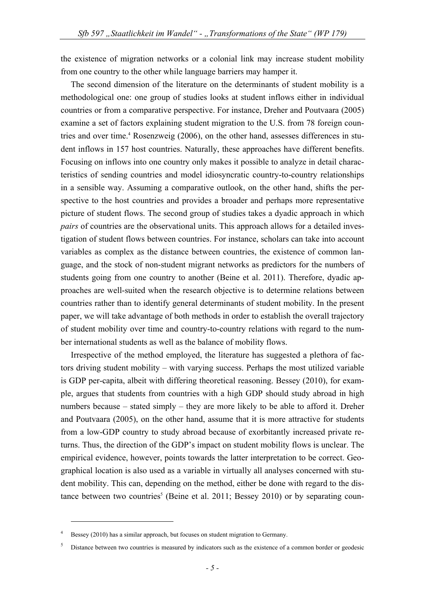the existence of migration networks or a colonial link may increase student mobility from one country to the other while language barriers may hamper it.

The second dimension of the literature on the determinants of student mobility is a methodological one: one group of studies looks at student inflows either in individual countries or from a comparative perspective. For instance, Dreher and Poutvaara (2005) examine a set of factors explaining student migration to the U.S. from 78 foreign countries and over time.<sup>4</sup> Rosenzweig (2006), on the other hand, assesses differences in student inflows in 157 host countries. Naturally, these approaches have different benefits. Focusing on inflows into one country only makes it possible to analyze in detail characteristics of sending countries and model idiosyncratic country-to-country relationships in a sensible way. Assuming a comparative outlook, on the other hand, shifts the perspective to the host countries and provides a broader and perhaps more representative picture of student flows. The second group of studies takes a dyadic approach in which *pairs* of countries are the observational units. This approach allows for a detailed investigation of student flows between countries. For instance, scholars can take into account variables as complex as the distance between countries, the existence of common language, and the stock of non-student migrant networks as predictors for the numbers of students going from one country to another (Beine et al. 2011). Therefore, dyadic approaches are well-suited when the research objective is to determine relations between countries rather than to identify general determinants of student mobility. In the present paper, we will take advantage of both methods in order to establish the overall trajectory of student mobility over time and country-to-country relations with regard to the number international students as well as the balance of mobility flows.

Irrespective of the method employed, the literature has suggested a plethora of factors driving student mobility – with varying success. Perhaps the most utilized variable is GDP per-capita, albeit with differing theoretical reasoning. Bessey (2010), for example, argues that students from countries with a high GDP should study abroad in high numbers because – stated simply – they are more likely to be able to afford it. Dreher and Poutvaara (2005), on the other hand, assume that it is more attractive for students from a low-GDP country to study abroad because of exorbitantly increased private returns. Thus, the direction of the GDP's impact on student mobility flows is unclear. The empirical evidence, however, points towards the latter interpretation to be correct. Geographical location is also used as a variable in virtually all analyses concerned with student mobility. This can, depending on the method, either be done with regard to the distance between two countries<sup>5</sup> (Beine et al. 2011; Bessey 2010) or by separating coun-

<sup>4</sup> Bessey (2010) has a similar approach, but focuses on student migration to Germany.

<sup>5</sup> Distance between two countries is measured by indicators such as the existence of a common border or geodesic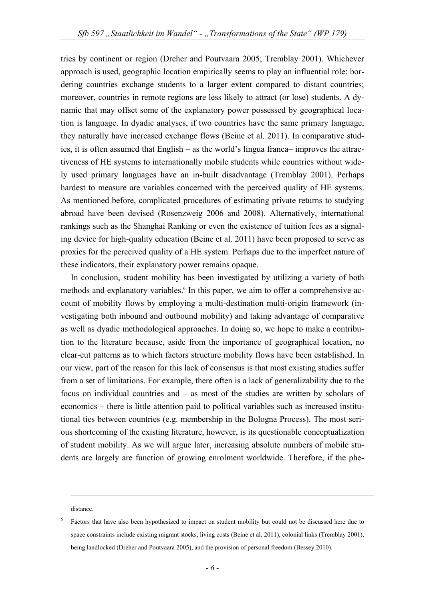tries by continent or region (Dreher and Poutvaara 2005; Tremblay 2001). Whichever approach is used, geographic location empirically seems to play an influential role: bordering countries exchange students to a larger extent compared to distant countries; moreover, countries in remote regions are less likely to attract (or lose) students. A dynamic that may offset some of the explanatory power possessed by geographical location is language. In dyadic analyses, if two countries have the same primary language, they naturally have increased exchange flows (Beine et al. 2011). In comparative studies, it is often assumed that English – as the world's lingua franca– improves the attractiveness of HE systems to internationally mobile students while countries without widely used primary languages have an in-built disadvantage (Tremblay 2001). Perhaps hardest to measure are variables concerned with the perceived quality of HE systems. As mentioned before, complicated procedures of estimating private returns to studying abroad have been devised (Rosenzweig 2006 and 2008). Alternatively, international rankings such as the Shanghai Ranking or even the existence of tuition fees as a signaling device for high-quality education (Beine et al. 2011) have been proposed to serve as proxies for the perceived quality of a HE system. Perhaps due to the imperfect nature of these indicators, their explanatory power remains opaque.

In conclusion, student mobility has been investigated by utilizing a variety of both methods and explanatory variables.<sup>6</sup> In this paper, we aim to offer a comprehensive account of mobility flows by employing a multi-destination multi-origin framework (investigating both inbound and outbound mobility) and taking advantage of comparative as well as dyadic methodological approaches. In doing so, we hope to make a contribution to the literature because, aside from the importance of geographical location, no clear-cut patterns as to which factors structure mobility flows have been established. In our view, part of the reason for this lack of consensus is that most existing studies suffer from a set of limitations. For example, there often is a lack of generalizability due to the focus on individual countries and – as most of the studies are written by scholars of economics – there is little attention paid to political variables such as increased institutional ties between countries (e.g. membership in the Bologna Process). The most serious shortcoming of the existing literature, however, is its questionable conceptualization of student mobility. As we will argue later, increasing absolute numbers of mobile students are largely are function of growing enrolment worldwide. Therefore, if the phe-

distance.

<sup>6</sup> Factors that have also been hypothesized to impact on student mobility but could not be discussed here due to space constraints include existing migrant stocks, living costs (Beine et al. 2011), colonial links (Tremblay 2001), being landlocked (Dreher and Poutvaara 2005), and the provision of personal freedom (Bessey 2010).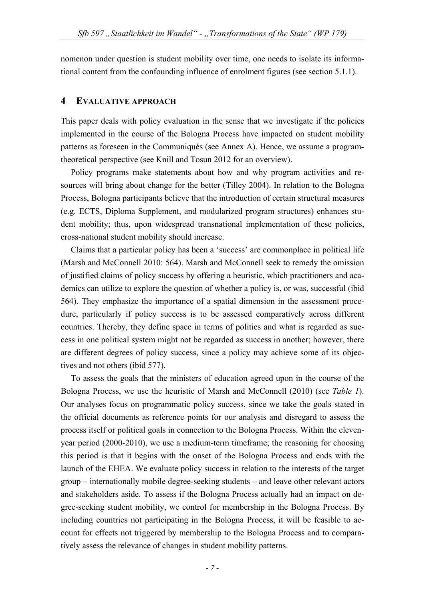nomenon under question is student mobility over time, one needs to isolate its informational content from the confounding influence of enrolment figures (see section 5.1.1).

#### **4 EVALUATIVE APPROACH**

This paper deals with policy evaluation in the sense that we investigate if the policies implemented in the course of the Bologna Process have impacted on student mobility patterns as foreseen in the Communiqués (see Annex A). Hence, we assume a programtheoretical perspective (see Knill and Tosun 2012 for an overview).

Policy programs make statements about how and why program activities and resources will bring about change for the better (Tilley 2004). In relation to the Bologna Process, Bologna participants believe that the introduction of certain structural measures (e.g. ECTS, Diploma Supplement, and modularized program structures) enhances student mobility; thus, upon widespread transnational implementation of these policies, cross-national student mobility should increase.

Claims that a particular policy has been a 'success' are commonplace in political life (Marsh and McConnell 2010: 564). Marsh and McConnell seek to remedy the omission of justified claims of policy success by offering a heuristic, which practitioners and academics can utilize to explore the question of whether a policy is, or was, successful (ibid 564). They emphasize the importance of a spatial dimension in the assessment procedure, particularly if policy success is to be assessed comparatively across different countries. Thereby, they define space in terms of polities and what is regarded as success in one political system might not be regarded as success in another; however, there are different degrees of policy success, since a policy may achieve some of its objectives and not others (ibid 577).

To assess the goals that the ministers of education agreed upon in the course of the Bologna Process, we use the heuristic of Marsh and McConnell (2010) (see *Table 1*). Our analyses focus on programmatic policy success, since we take the goals stated in the official documents as reference points for our analysis and disregard to assess the process itself or political goals in connection to the Bologna Process. Within the elevenyear period (2000-2010), we use a medium-term timeframe; the reasoning for choosing this period is that it begins with the onset of the Bologna Process and ends with the launch of the EHEA. We evaluate policy success in relation to the interests of the target group – internationally mobile degree-seeking students – and leave other relevant actors and stakeholders aside. To assess if the Bologna Process actually had an impact on degree-seeking student mobility, we control for membership in the Bologna Process. By including countries not participating in the Bologna Process, it will be feasible to account for effects not triggered by membership to the Bologna Process and to comparatively assess the relevance of changes in student mobility patterns.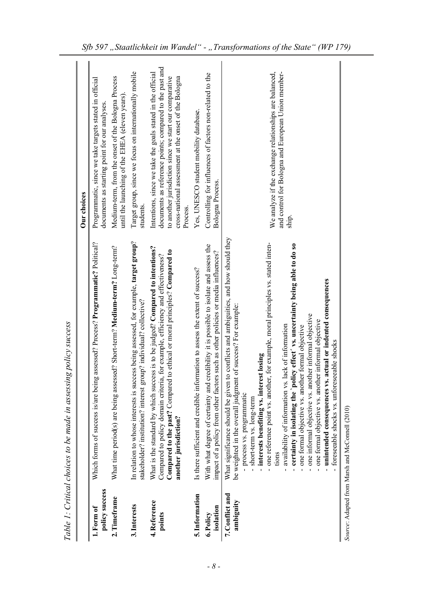|                              |                                                                                                                                                                                                                                                                                                                                                                                                                                                                                                                                                                                                                                                                                                                                                                                                       | Our choices                                                                                                                                                                                                                                         |
|------------------------------|-------------------------------------------------------------------------------------------------------------------------------------------------------------------------------------------------------------------------------------------------------------------------------------------------------------------------------------------------------------------------------------------------------------------------------------------------------------------------------------------------------------------------------------------------------------------------------------------------------------------------------------------------------------------------------------------------------------------------------------------------------------------------------------------------------|-----------------------------------------------------------------------------------------------------------------------------------------------------------------------------------------------------------------------------------------------------|
| policy success<br>1. Form of | g assessed? Process? Programmatic? Political?<br>Which forms of success is/are bein                                                                                                                                                                                                                                                                                                                                                                                                                                                                                                                                                                                                                                                                                                                   | Programmatic, since we take targets stated in official<br>documents as starting point for our analyses.                                                                                                                                             |
| 2. Timeframe                 | What time period(s) are being assessed? Short-term? Medium-term? Long-term?                                                                                                                                                                                                                                                                                                                                                                                                                                                                                                                                                                                                                                                                                                                           | Medium-term, from the onset of the Bologna Process<br>until the launching of the EHEA (eleven years).                                                                                                                                               |
| 3. Interests                 | In relation to whose interests is success being assessed, for example, target group?<br>stakeholder? institution? interest group? individual? collective?                                                                                                                                                                                                                                                                                                                                                                                                                                                                                                                                                                                                                                             | Target group, since we focus on internationally mobile<br>students                                                                                                                                                                                  |
| 4.Reference<br>points        | What is the standard by which success is to be judged? Compared to intentions?<br>Compared to the past? Compared to ethical or moral principles? Compared to<br>Compared to policy domain criteria, for example, efficiency and effectiveness?<br>another jurisdiction?                                                                                                                                                                                                                                                                                                                                                                                                                                                                                                                               | documents as reference points; compared to the past and<br>Intentions, since we take the goals stated in the official<br>to another jurisdiction since we start our comparative<br>cross-national assessment at the onset of the Bologna<br>Process |
| 5. Information               | Is there sufficient and credible information to assess the extent of success?                                                                                                                                                                                                                                                                                                                                                                                                                                                                                                                                                                                                                                                                                                                         | Yes, UNESCO student mobility database.                                                                                                                                                                                                              |
| isolation<br>6.Policy        | With what degree of certainty and credibility it is possible to isolate and assess the<br>impact of a policy from other factors such as other policies or media influences?                                                                                                                                                                                                                                                                                                                                                                                                                                                                                                                                                                                                                           | Controlling for influences of factors non-related to the<br>Bologna Process.                                                                                                                                                                        |
| 7. Conflict and<br>ambiguity | to conflicts and ambiguities, and how should they<br>- one reference point vs. another, for example, moral principles vs. stated inten-<br>- certainty in isolating the 'policy effect' vs. uncertainty being able to do so<br>- unintended consequences vs. actual or indented consequences<br>be weighted in the overall judgment of success? For example:<br>- one informal objective vs. another informal objective<br>- one formal objective vs. another informal objective<br>availability of information vs. lack of information<br>- one formal objective vs. another formal objective<br>foreseeable shocks vs. unforeseeable shocks<br>- interests benefiting vs. interest losing<br>What significance should be given<br>- process vs. programmatic<br>- short-term vs. long-term<br>tions | and control for Bologna and European Union member-<br>We analyze if the exchange relationships are balanced,<br>ship.                                                                                                                               |
|                              | Source: Adapted from Marsh and McConnell (2010)                                                                                                                                                                                                                                                                                                                                                                                                                                                                                                                                                                                                                                                                                                                                                       |                                                                                                                                                                                                                                                     |

*Table 1: Critical choices to be made in assessing policy success* 

Table 1: Critical choices to be made in assessing policy success

*Sfb 597* "Staatlichkeit im Wandel" - "Transformations of the State" (WP 179)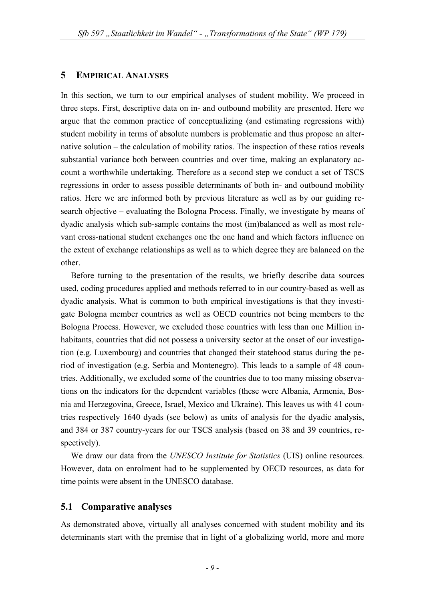## **5 EMPIRICAL ANALYSES**

In this section, we turn to our empirical analyses of student mobility. We proceed in three steps. First, descriptive data on in- and outbound mobility are presented. Here we argue that the common practice of conceptualizing (and estimating regressions with) student mobility in terms of absolute numbers is problematic and thus propose an alternative solution – the calculation of mobility ratios. The inspection of these ratios reveals substantial variance both between countries and over time, making an explanatory account a worthwhile undertaking. Therefore as a second step we conduct a set of TSCS regressions in order to assess possible determinants of both in- and outbound mobility ratios. Here we are informed both by previous literature as well as by our guiding research objective – evaluating the Bologna Process. Finally, we investigate by means of dyadic analysis which sub-sample contains the most (im)balanced as well as most relevant cross-national student exchanges one the one hand and which factors influence on the extent of exchange relationships as well as to which degree they are balanced on the other.

Before turning to the presentation of the results, we briefly describe data sources used, coding procedures applied and methods referred to in our country-based as well as dyadic analysis. What is common to both empirical investigations is that they investigate Bologna member countries as well as OECD countries not being members to the Bologna Process. However, we excluded those countries with less than one Million inhabitants, countries that did not possess a university sector at the onset of our investigation (e.g. Luxembourg) and countries that changed their statehood status during the period of investigation (e.g. Serbia and Montenegro). This leads to a sample of 48 countries. Additionally, we excluded some of the countries due to too many missing observations on the indicators for the dependent variables (these were Albania, Armenia, Bosnia and Herzegovina, Greece, Israel, Mexico and Ukraine). This leaves us with 41 countries respectively 1640 dyads (see below) as units of analysis for the dyadic analysis, and 384 or 387 country-years for our TSCS analysis (based on 38 and 39 countries, respectively).

We draw our data from the *UNESCO Institute for Statistics* (UIS) online resources. However, data on enrolment had to be supplemented by OECD resources, as data for time points were absent in the UNESCO database.

# **5.1 Comparative analyses**

As demonstrated above, virtually all analyses concerned with student mobility and its determinants start with the premise that in light of a globalizing world, more and more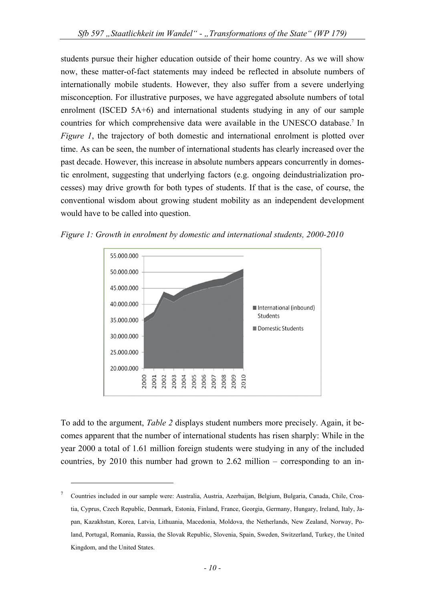students pursue their higher education outside of their home country. As we will show now, these matter-of-fact statements may indeed be reflected in absolute numbers of internationally mobile students. However, they also suffer from a severe underlying misconception. For illustrative purposes, we have aggregated absolute numbers of total enrolment (ISCED 5A+6) and international students studying in any of our sample countries for which comprehensive data were available in the UNESCO database.<sup>7</sup> In *Figure 1*, the trajectory of both domestic and international enrolment is plotted over time. As can be seen, the number of international students has clearly increased over the past decade. However, this increase in absolute numbers appears concurrently in domestic enrolment, suggesting that underlying factors (e.g. ongoing deindustrialization processes) may drive growth for both types of students. If that is the case, of course, the conventional wisdom about growing student mobility as an independent development would have to be called into question.



*Figure 1: Growth in enrolment by domestic and international students, 2000-2010* 

To add to the argument, *Table 2* displays student numbers more precisely. Again, it becomes apparent that the number of international students has risen sharply: While in the year 2000 a total of 1.61 million foreign students were studying in any of the included countries, by 2010 this number had grown to 2.62 million – corresponding to an in-

<sup>7</sup> Countries included in our sample were: Australia, Austria, Azerbaijan, Belgium, Bulgaria, Canada, Chile, Croatia, Cyprus, Czech Republic, Denmark, Estonia, Finland, France, Georgia, Germany, Hungary, Ireland, Italy, Japan, Kazakhstan, Korea, Latvia, Lithuania, Macedonia, Moldova, the Netherlands, New Zealand, Norway, Poland, Portugal, Romania, Russia, the Slovak Republic, Slovenia, Spain, Sweden, Switzerland, Turkey, the United Kingdom, and the United States.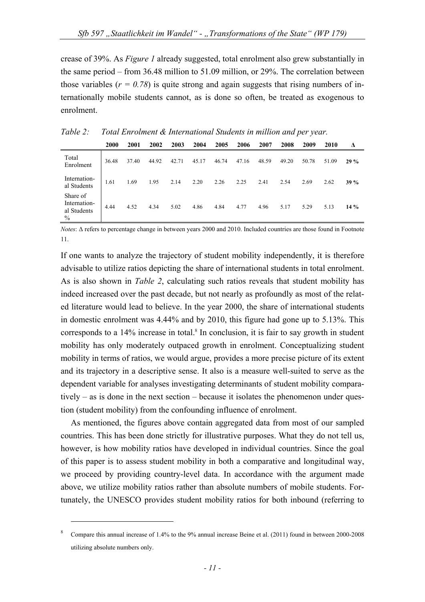crease of 39%. As *Figure 1* already suggested, total enrolment also grew substantially in the same period – from 36.48 million to 51.09 million, or 29%. The correlation between those variables  $(r = 0.78)$  is quite strong and again suggests that rising numbers of internationally mobile students cannot, as is done so often, be treated as exogenous to enrolment.

|                                                          | 2000  | 2001  | 2002  | 2003  | 2004  | 2005  | 2006  | 2007  | 2008  | 2009  | 2010  | Δ      |
|----------------------------------------------------------|-------|-------|-------|-------|-------|-------|-------|-------|-------|-------|-------|--------|
| Total<br>Enrolment                                       | 36.48 | 37.40 | 44.92 | 42.71 | 45.17 | 46.74 | 47.16 | 48.59 | 49.20 | 50.78 | 51.09 | 29%    |
| Internation-<br>al Students                              | 1.61  | 1.69  | 1.95  | 2.14  | 2.20  | 2.26  | 2.25  | 2.41  | 2.54  | 2.69  | 2.62  | 39%    |
| Share of<br>Internation-<br>al Students<br>$\frac{0}{0}$ | 4.44  | 4.52  | 4.34  | 5.02  | 4.86  | 4.84  | 4.77  | 4.96  | 5.17  | 5.29  | 5.13  | $14\%$ |

*Table 2: Total Enrolment & International Students in million and per year.* 

*Notes*: Δ refers to percentage change in between years 2000 and 2010. Included countries are those found in Footnote 11.

If one wants to analyze the trajectory of student mobility independently, it is therefore advisable to utilize ratios depicting the share of international students in total enrolment. As is also shown in *Table 2*, calculating such ratios reveals that student mobility has indeed increased over the past decade, but not nearly as profoundly as most of the related literature would lead to believe. In the year 2000, the share of international students in domestic enrolment was 4.44% and by 2010, this figure had gone up to 5.13%. This corresponds to a  $14\%$  increase in total.<sup>8</sup> In conclusion, it is fair to say growth in student mobility has only moderately outpaced growth in enrolment. Conceptualizing student mobility in terms of ratios, we would argue, provides a more precise picture of its extent and its trajectory in a descriptive sense. It also is a measure well-suited to serve as the dependent variable for analyses investigating determinants of student mobility comparatively – as is done in the next section – because it isolates the phenomenon under question (student mobility) from the confounding influence of enrolment.

As mentioned, the figures above contain aggregated data from most of our sampled countries. This has been done strictly for illustrative purposes. What they do not tell us, however, is how mobility ratios have developed in individual countries. Since the goal of this paper is to assess student mobility in both a comparative and longitudinal way, we proceed by providing country-level data. In accordance with the argument made above, we utilize mobility ratios rather than absolute numbers of mobile students. Fortunately, the UNESCO provides student mobility ratios for both inbound (referring to

<sup>8</sup> Compare this annual increase of 1.4% to the 9% annual increase Beine et al. (2011) found in between 2000-2008 utilizing absolute numbers only.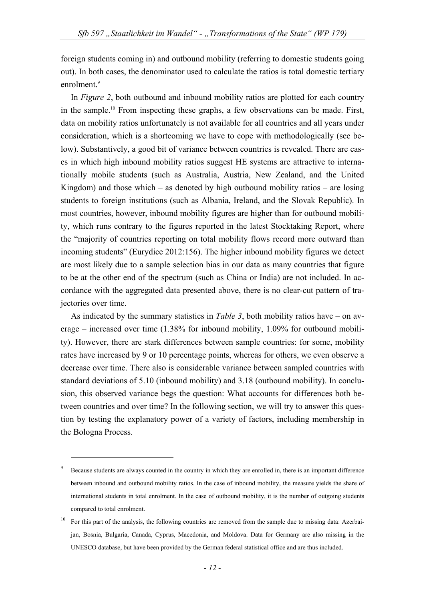foreign students coming in) and outbound mobility (referring to domestic students going out). In both cases, the denominator used to calculate the ratios is total domestic tertiary enrolment<sup>9</sup>

In *Figure 2*, both outbound and inbound mobility ratios are plotted for each country in the sample.<sup>10</sup> From inspecting these graphs, a few observations can be made. First, data on mobility ratios unfortunately is not available for all countries and all years under consideration, which is a shortcoming we have to cope with methodologically (see below). Substantively, a good bit of variance between countries is revealed. There are cases in which high inbound mobility ratios suggest HE systems are attractive to internationally mobile students (such as Australia, Austria, New Zealand, and the United Kingdom) and those which – as denoted by high outbound mobility ratios – are losing students to foreign institutions (such as Albania, Ireland, and the Slovak Republic). In most countries, however, inbound mobility figures are higher than for outbound mobility, which runs contrary to the figures reported in the latest Stocktaking Report, where the "majority of countries reporting on total mobility flows record more outward than incoming students" (Eurydice 2012:156). The higher inbound mobility figures we detect are most likely due to a sample selection bias in our data as many countries that figure to be at the other end of the spectrum (such as China or India) are not included. In accordance with the aggregated data presented above, there is no clear-cut pattern of trajectories over time.

As indicated by the summary statistics in *Table 3*, both mobility ratios have – on average – increased over time (1.38% for inbound mobility, 1.09% for outbound mobility). However, there are stark differences between sample countries: for some, mobility rates have increased by 9 or 10 percentage points, whereas for others, we even observe a decrease over time. There also is considerable variance between sampled countries with standard deviations of 5.10 (inbound mobility) and 3.18 (outbound mobility). In conclusion, this observed variance begs the question: What accounts for differences both between countries and over time? In the following section, we will try to answer this question by testing the explanatory power of a variety of factors, including membership in the Bologna Process.

<sup>9</sup> Because students are always counted in the country in which they are enrolled in, there is an important difference between inbound and outbound mobility ratios. In the case of inbound mobility, the measure yields the share of international students in total enrolment. In the case of outbound mobility, it is the number of outgoing students compared to total enrolment.

<sup>10</sup> For this part of the analysis, the following countries are removed from the sample due to missing data: Azerbaijan, Bosnia, Bulgaria, Canada, Cyprus, Macedonia, and Moldova. Data for Germany are also missing in the UNESCO database, but have been provided by the German federal statistical office and are thus included.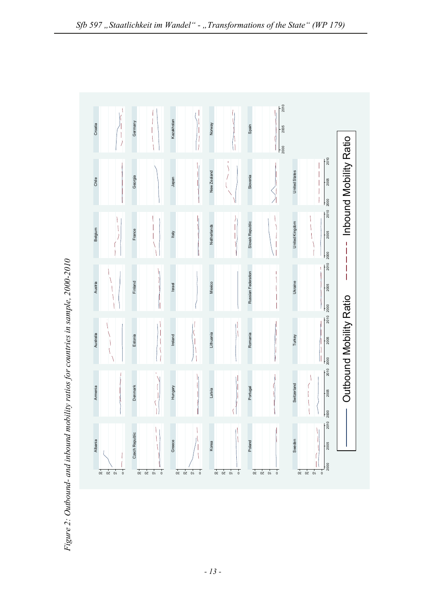

Figure 2: Outbound- and inbound mobility ratios for countries in sample, 2000-2010 *Figure 2: Outbound- and inbound mobility ratios for countries in sample, 2000-2010*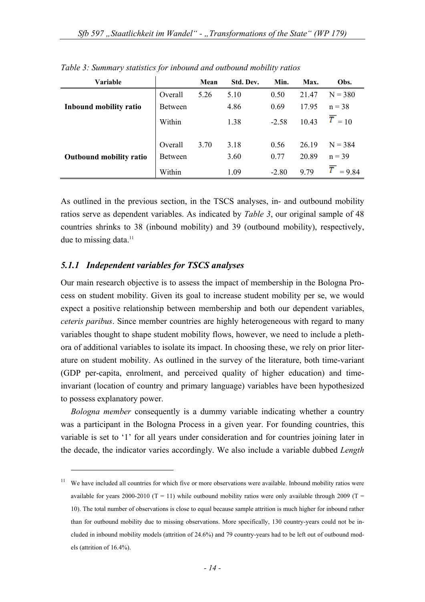| Variable                |         | Mean | Std. Dev. | Min.    | Max.  | Obs.                |
|-------------------------|---------|------|-----------|---------|-------|---------------------|
|                         | Overall | 5.26 | 5.10      | 0.50    | 21.47 | $N = 380$           |
| Inbound mobility ratio  | Between |      | 4.86      | 0.69    | 17.95 | $n = 38$            |
|                         | Within  |      | 1.38      | $-2.58$ | 10.43 | $\overline{T} = 10$ |
|                         | Overall | 3.70 | 3.18      | 0.56    | 26.19 | $N = 384$           |
| Outbound mobility ratio | Between |      | 3.60      | 0.77    | 20.89 | $n = 39$            |
|                         | Within  |      | 1.09      | $-2.80$ | 9 79  | $= 9.84$            |

*Table 3: Summary statistics for inbound and outbound mobility ratios* 

As outlined in the previous section, in the TSCS analyses, in- and outbound mobility ratios serve as dependent variables. As indicated by *Table 3*, our original sample of 48 countries shrinks to 38 (inbound mobility) and 39 (outbound mobility), respectively, due to missing data.<sup>11</sup>

## *5.1.1 Independent variables for TSCS analyses*

1

Our main research objective is to assess the impact of membership in the Bologna Process on student mobility. Given its goal to increase student mobility per se, we would expect a positive relationship between membership and both our dependent variables, *ceteris paribus*. Since member countries are highly heterogeneous with regard to many variables thought to shape student mobility flows, however, we need to include a plethora of additional variables to isolate its impact. In choosing these, we rely on prior literature on student mobility. As outlined in the survey of the literature, both time-variant (GDP per-capita, enrolment, and perceived quality of higher education) and timeinvariant (location of country and primary language) variables have been hypothesized to possess explanatory power.

*Bologna member* consequently is a dummy variable indicating whether a country was a participant in the Bologna Process in a given year. For founding countries, this variable is set to '1' for all years under consideration and for countries joining later in the decade, the indicator varies accordingly. We also include a variable dubbed *Length* 

We have included all countries for which five or more observations were available. Inbound mobility ratios were available for years 2000-2010 (T = 11) while outbound mobility ratios were only available through 2009 (T = 10). The total number of observations is close to equal because sample attrition is much higher for inbound rather than for outbound mobility due to missing observations. More specifically, 130 country-years could not be included in inbound mobility models (attrition of 24.6%) and 79 country-years had to be left out of outbound models (attrition of 16.4%).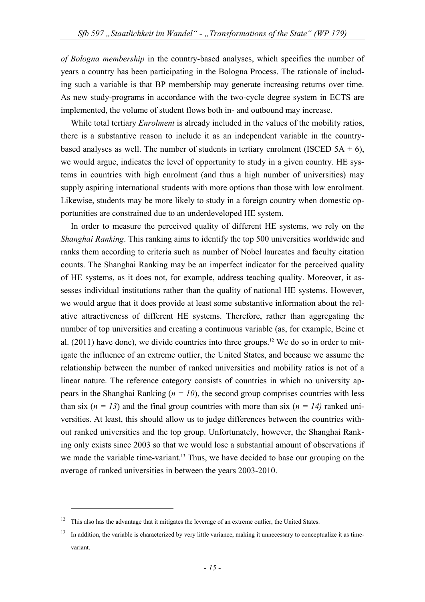*of Bologna membership* in the country-based analyses, which specifies the number of years a country has been participating in the Bologna Process. The rationale of including such a variable is that BP membership may generate increasing returns over time. As new study-programs in accordance with the two-cycle degree system in ECTS are implemented, the volume of student flows both in- and outbound may increase.

While total tertiary *Enrolment* is already included in the values of the mobility ratios, there is a substantive reason to include it as an independent variable in the countrybased analyses as well. The number of students in tertiary enrolment (ISCED  $5A + 6$ ), we would argue, indicates the level of opportunity to study in a given country. HE systems in countries with high enrolment (and thus a high number of universities) may supply aspiring international students with more options than those with low enrolment. Likewise, students may be more likely to study in a foreign country when domestic opportunities are constrained due to an underdeveloped HE system.

In order to measure the perceived quality of different HE systems, we rely on the *Shanghai Ranking*. This ranking aims to identify the top 500 universities worldwide and ranks them according to criteria such as number of Nobel laureates and faculty citation counts. The Shanghai Ranking may be an imperfect indicator for the perceived quality of HE systems, as it does not, for example, address teaching quality. Moreover, it assesses individual institutions rather than the quality of national HE systems. However, we would argue that it does provide at least some substantive information about the relative attractiveness of different HE systems. Therefore, rather than aggregating the number of top universities and creating a continuous variable (as, for example, Beine et al.  $(2011)$  have done), we divide countries into three groups.<sup>12</sup> We do so in order to mitigate the influence of an extreme outlier, the United States, and because we assume the relationship between the number of ranked universities and mobility ratios is not of a linear nature. The reference category consists of countries in which no university appears in the Shanghai Ranking ( $n = 10$ ), the second group comprises countries with less than six  $(n = 13)$  and the final group countries with more than six  $(n = 14)$  ranked universities. At least, this should allow us to judge differences between the countries without ranked universities and the top group. Unfortunately, however, the Shanghai Ranking only exists since 2003 so that we would lose a substantial amount of observations if we made the variable time-variant.<sup>13</sup> Thus, we have decided to base our grouping on the average of ranked universities in between the years 2003-2010.

 $12$  This also has the advantage that it mitigates the leverage of an extreme outlier, the United States.

 $13$  In addition, the variable is characterized by very little variance, making it unnecessary to conceptualize it as timevariant.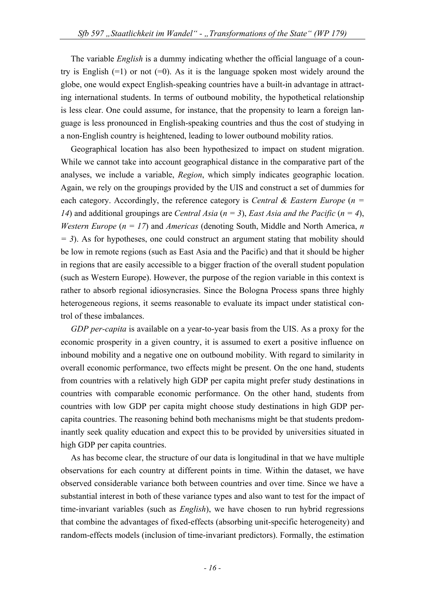The variable *English* is a dummy indicating whether the official language of a country is English  $(=1)$  or not  $(=0)$ . As it is the language spoken most widely around the globe, one would expect English-speaking countries have a built-in advantage in attracting international students. In terms of outbound mobility, the hypothetical relationship is less clear. One could assume, for instance, that the propensity to learn a foreign language is less pronounced in English-speaking countries and thus the cost of studying in a non-English country is heightened, leading to lower outbound mobility ratios.

Geographical location has also been hypothesized to impact on student migration. While we cannot take into account geographical distance in the comparative part of the analyses, we include a variable, *Region*, which simply indicates geographic location. Again, we rely on the groupings provided by the UIS and construct a set of dummies for each category. Accordingly, the reference category is *Central & Eastern Europe* (*n = 14*) and additional groupings are *Central Asia* (*n = 3*), *East Asia and the Pacific* (*n = 4*), *Western Europe* ( $n = 17$ ) and *Americas* (denoting South, Middle and North America, *n = 3*). As for hypotheses, one could construct an argument stating that mobility should be low in remote regions (such as East Asia and the Pacific) and that it should be higher in regions that are easily accessible to a bigger fraction of the overall student population (such as Western Europe). However, the purpose of the region variable in this context is rather to absorb regional idiosyncrasies. Since the Bologna Process spans three highly heterogeneous regions, it seems reasonable to evaluate its impact under statistical control of these imbalances.

*GDP per-capita* is available on a year-to-year basis from the UIS. As a proxy for the economic prosperity in a given country, it is assumed to exert a positive influence on inbound mobility and a negative one on outbound mobility. With regard to similarity in overall economic performance, two effects might be present. On the one hand, students from countries with a relatively high GDP per capita might prefer study destinations in countries with comparable economic performance. On the other hand, students from countries with low GDP per capita might choose study destinations in high GDP percapita countries. The reasoning behind both mechanisms might be that students predominantly seek quality education and expect this to be provided by universities situated in high GDP per capita countries.

As has become clear, the structure of our data is longitudinal in that we have multiple observations for each country at different points in time. Within the dataset, we have observed considerable variance both between countries and over time. Since we have a substantial interest in both of these variance types and also want to test for the impact of time-invariant variables (such as *English*), we have chosen to run hybrid regressions that combine the advantages of fixed-effects (absorbing unit-specific heterogeneity) and random-effects models (inclusion of time-invariant predictors). Formally, the estimation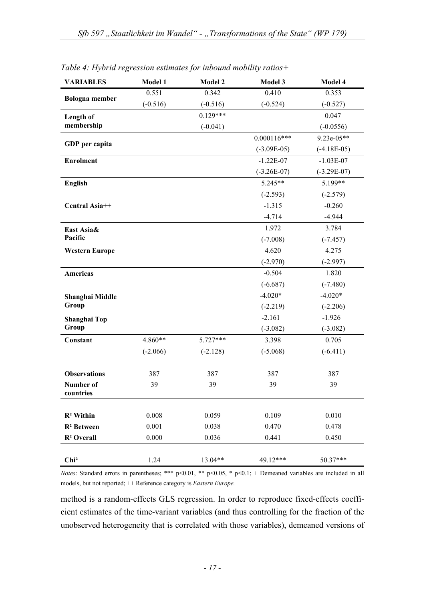| <b>VARIABLES</b>       | Model 1    | <b>Model 2</b> | Model 3       | Model 4       |
|------------------------|------------|----------------|---------------|---------------|
|                        | 0.551      | 0.342          | 0.410         | 0.353         |
| Bologna member         | $(-0.516)$ | $(-0.516)$     | $(-0.524)$    | $(-0.527)$    |
| Length of              |            | $0.129***$     |               | 0.047         |
| membership             |            | $(-0.041)$     |               | $(-0.0556)$   |
|                        |            |                | $0.000116***$ | 9.23e-05**    |
| GDP per capita         |            |                | $(-3.09E-05)$ | $(-4.18E-05)$ |
| <b>Enrolment</b>       |            |                | $-1.22E-07$   | $-1.03E-07$   |
|                        |            |                | $(-3.26E-07)$ | $(-3.29E-07)$ |
| <b>English</b>         |            |                | 5.245**       | 5.199**       |
|                        |            |                | $(-2.593)$    | $(-2.579)$    |
| Central Asia++         |            |                | $-1.315$      | $-0.260$      |
|                        |            |                | $-4.714$      | $-4.944$      |
| East Asia&             |            |                | 1.972         | 3.784         |
| Pacific                |            |                | $(-7.008)$    | $(-7.457)$    |
| <b>Western Europe</b>  |            |                | 4.620         | 4.275         |
|                        |            |                | $(-2.970)$    | $(-2.997)$    |
| Americas               |            |                | $-0.504$      | 1.820         |
|                        |            |                | $(-6.687)$    | $(-7.480)$    |
| Shanghai Middle        |            |                | $-4.020*$     | $-4.020*$     |
| Group                  |            |                | $(-2.219)$    | $(-2.206)$    |
| Shanghai Top           |            |                | $-2.161$      | $-1.926$      |
| Group                  |            |                | $(-3.082)$    | $(-3.082)$    |
| Constant               | $4.860**$  | $5.727***$     | 3.398         | 0.705         |
|                        | $(-2.066)$ | $(-2.128)$     | $(-5.068)$    | $(-6.411)$    |
|                        |            |                |               |               |
| <b>Observations</b>    | 387        | 387            | 387           | 387           |
| Number of<br>countries | 39         | 39             | 39            | 39            |
| $\mathbb{R}^2$ Within  | 0.008      | 0.059          | 0.109         | 0.010         |
| R <sup>2</sup> Between | 0.001      | 0.038          | 0.470         | 0.478         |
| R <sup>2</sup> Overall | 0.000      | 0.036          | 0.441         | 0.450         |
| Chi <sup>2</sup>       | 1.24       | 13.04**        | 49.12***      | 50.37***      |

*Table 4: Hybrid regression estimates for inbound mobility ratios+* 

*Notes*: Standard errors in parentheses; \*\*\* p<0.01, \*\* p<0.05, \* p<0.1; + Demeaned variables are included in all models, but not reported; ++ Reference category is *Eastern Europe.*

method is a random-effects GLS regression. In order to reproduce fixed-effects coefficient estimates of the time-variant variables (and thus controlling for the fraction of the unobserved heterogeneity that is correlated with those variables), demeaned versions of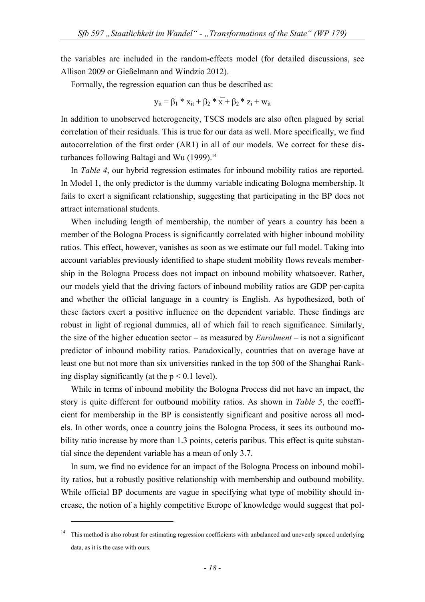the variables are included in the random-effects model (for detailed discussions, see Allison 2009 or Gießelmann and Windzio 2012).

Formally, the regression equation can thus be described as:

$$
y_{it} = \beta_1 * x_{it} + \beta_2 * x + \beta_2 * z_i + w_{it}
$$

In addition to unobserved heterogeneity, TSCS models are also often plagued by serial correlation of their residuals. This is true for our data as well. More specifically, we find autocorrelation of the first order (AR1) in all of our models. We correct for these disturbances following Baltagi and Wu (1999).<sup>14</sup>

In *Table 4*, our hybrid regression estimates for inbound mobility ratios are reported. In Model 1, the only predictor is the dummy variable indicating Bologna membership. It fails to exert a significant relationship, suggesting that participating in the BP does not attract international students.

When including length of membership, the number of years a country has been a member of the Bologna Process is significantly correlated with higher inbound mobility ratios. This effect, however, vanishes as soon as we estimate our full model. Taking into account variables previously identified to shape student mobility flows reveals membership in the Bologna Process does not impact on inbound mobility whatsoever. Rather, our models yield that the driving factors of inbound mobility ratios are GDP per-capita and whether the official language in a country is English. As hypothesized, both of these factors exert a positive influence on the dependent variable. These findings are robust in light of regional dummies, all of which fail to reach significance. Similarly, the size of the higher education sector – as measured by *Enrolment* – is not a significant predictor of inbound mobility ratios. Paradoxically, countries that on average have at least one but not more than six universities ranked in the top 500 of the Shanghai Ranking display significantly (at the  $p < 0.1$  level).

While in terms of inbound mobility the Bologna Process did not have an impact, the story is quite different for outbound mobility ratios. As shown in *Table 5*, the coefficient for membership in the BP is consistently significant and positive across all models. In other words, once a country joins the Bologna Process, it sees its outbound mobility ratio increase by more than 1.3 points, ceteris paribus. This effect is quite substantial since the dependent variable has a mean of only 3.7.

In sum, we find no evidence for an impact of the Bologna Process on inbound mobility ratios, but a robustly positive relationship with membership and outbound mobility. While official BP documents are vague in specifying what type of mobility should increase, the notion of a highly competitive Europe of knowledge would suggest that pol-

<sup>&</sup>lt;sup>14</sup> This method is also robust for estimating regression coefficients with unbalanced and unevenly spaced underlying data, as it is the case with ours.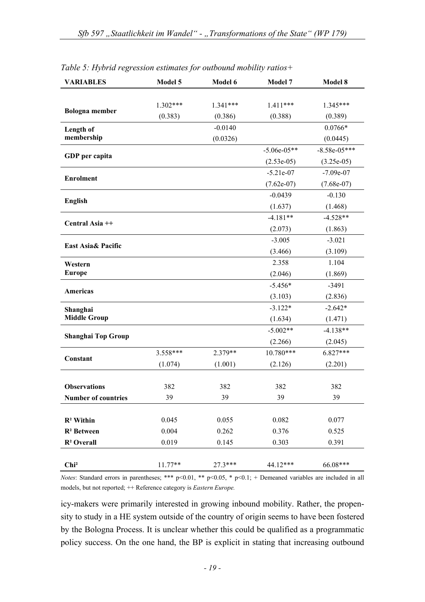| <b>VARIABLES</b>              | Model 5   | Model 6    | Model 7       | Model 8        |
|-------------------------------|-----------|------------|---------------|----------------|
|                               |           |            |               |                |
| <b>Bologna</b> member         | 1.302***  | $1.341***$ | $1.411***$    | 1.345***       |
|                               | (0.383)   | (0.386)    | (0.388)       | (0.389)        |
| Length of                     |           | $-0.0140$  |               | $0.0766*$      |
| membership                    |           | (0.0326)   |               | (0.0445)       |
|                               |           |            | $-5.06e-05**$ | $-8.58e-05***$ |
| GDP per capita                |           |            | $(2.53e-05)$  | $(3.25e-05)$   |
| <b>Enrolment</b>              |           |            | $-5.21e-07$   | $-7.09e-07$    |
|                               |           |            | $(7.62e-07)$  | $(7.68e-07)$   |
|                               |           |            | $-0.0439$     | $-0.130$       |
| <b>English</b>                |           |            | (1.637)       | (1.468)        |
|                               |           |            | $-4.181**$    | $-4.528**$     |
| Central Asia ++               |           |            | (2.073)       | (1.863)        |
|                               |           |            | $-3.005$      | $-3.021$       |
| <b>East Asia&amp; Pacific</b> |           |            | (3.466)       | (3.109)        |
| Western                       |           |            | 2.358         | 1.104          |
| <b>Europe</b>                 |           |            | (2.046)       | (1.869)        |
|                               |           |            | $-5.456*$     | $-3491$        |
| Americas                      |           |            | (3.103)       | (2.836)        |
| Shanghai                      |           |            | $-3.122*$     | $-2.642*$      |
| <b>Middle Group</b>           |           |            | (1.634)       | (1.471)        |
|                               |           |            | $-5.002**$    | $-4.138**$     |
| <b>Shanghai Top Group</b>     |           |            | (2.266)       | (2.045)        |
|                               | 3.558***  | 2.379**    | 10.780***     | $6.827***$     |
| Constant                      | (1.074)   | (1.001)    | (2.126)       | (2.201)        |
|                               |           |            |               |                |
| <b>Observations</b>           | 382       | 382        | 382           | 382            |
| <b>Number of countries</b>    | 39        | 39         | 39            | 39             |
|                               |           |            |               |                |
| $\mathbb{R}^2$ Within         | 0.045     | 0.055      | 0.082         | 0.077          |
| R <sup>2</sup> Between        | 0.004     | 0.262      | 0.376         | 0.525          |
| R <sup>2</sup> Overall        | 0.019     | 0.145      | 0.303         | 0.391          |
|                               |           |            |               |                |
| Chi <sup>2</sup>              | $11.77**$ | 27.3***    | 44.12***      | 66.08***       |

### *Table 5: Hybrid regression estimates for outbound mobility ratios+*

*Notes*: Standard errors in parentheses; \*\*\* p<0.01, \*\* p<0.05, \* p<0.1; + Demeaned variables are included in all models, but not reported; ++ Reference category is *Eastern Europe.*

icy-makers were primarily interested in growing inbound mobility. Rather, the propensity to study in a HE system outside of the country of origin seems to have been fostered by the Bologna Process. It is unclear whether this could be qualified as a programmatic policy success. On the one hand, the BP is explicit in stating that increasing outbound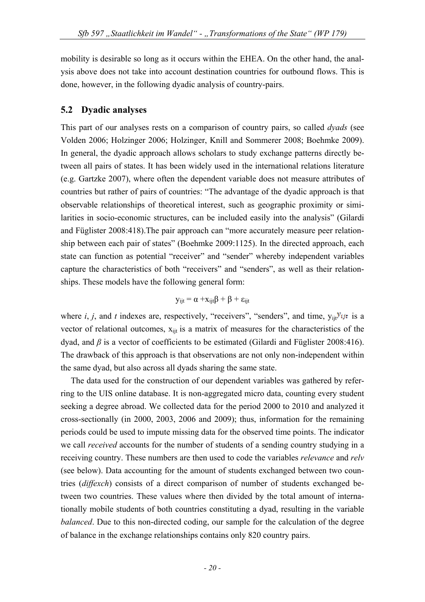mobility is desirable so long as it occurs within the EHEA. On the other hand, the analysis above does not take into account destination countries for outbound flows. This is done, however, in the following dyadic analysis of country-pairs.

# **5.2 Dyadic analyses**

This part of our analyses rests on a comparison of country pairs, so called *dyads* (see Volden 2006; Holzinger 2006; Holzinger, Knill and Sommerer 2008; Boehmke 2009). In general, the dyadic approach allows scholars to study exchange patterns directly between all pairs of states. It has been widely used in the international relations literature (e.g. Gartzke 2007), where often the dependent variable does not measure attributes of countries but rather of pairs of countries: "The advantage of the dyadic approach is that observable relationships of theoretical interest, such as geographic proximity or similarities in socio-economic structures, can be included easily into the analysis" (Gilardi and Füglister 2008:418).The pair approach can "more accurately measure peer relationship between each pair of states" (Boehmke 2009:1125). In the directed approach, each state can function as potential "receiver" and "sender" whereby independent variables capture the characteristics of both "receivers" and "senders", as well as their relationships. These models have the following general form:

$$
y_{ijt} = \alpha + x_{ijt}\beta + \beta + \epsilon_{ijt}
$$

where  $i$ ,  $j$ , and  $t$  indexes are, respectively, "receivers", "senders", and time,  $y_{ijt}$ <sup>y</sup> $ijt$  is a vector of relational outcomes,  $x_{\text{lit}}$  is a matrix of measures for the characteristics of the dyad, and *β* is a vector of coefficients to be estimated (Gilardi and Füglister 2008:416). The drawback of this approach is that observations are not only non-independent within the same dyad, but also across all dyads sharing the same state.

The data used for the construction of our dependent variables was gathered by referring to the UIS online database. It is non-aggregated micro data, counting every student seeking a degree abroad. We collected data for the period 2000 to 2010 and analyzed it cross-sectionally (in 2000, 2003, 2006 and 2009); thus, information for the remaining periods could be used to impute missing data for the observed time points. The indicator we call *received* accounts for the number of students of a sending country studying in a receiving country. These numbers are then used to code the variables *relevance* and *relv* (see below). Data accounting for the amount of students exchanged between two countries (*diffexch*) consists of a direct comparison of number of students exchanged between two countries. These values where then divided by the total amount of internationally mobile students of both countries constituting a dyad, resulting in the variable *balanced*. Due to this non-directed coding, our sample for the calculation of the degree of balance in the exchange relationships contains only 820 country pairs.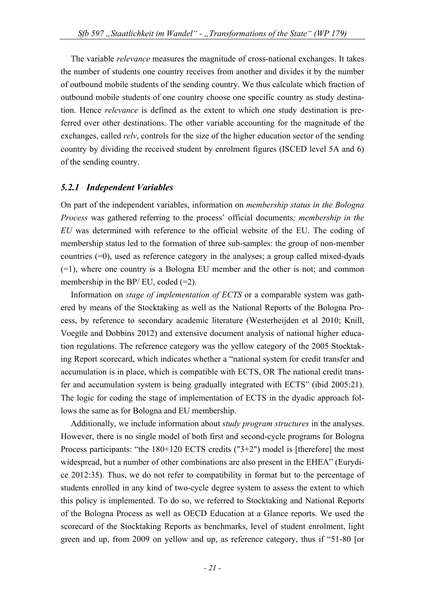The variable *relevance* measures the magnitude of cross-national exchanges. It takes the number of students one country receives from another and divides it by the number of outbound mobile students of the sending country. We thus calculate which fraction of outbound mobile students of one country choose one specific country as study destination. Hence *relevance* is defined as the extent to which one study destination is preferred over other destinations. The other variable accounting for the magnitude of the exchanges, called *relv*, controls for the size of the higher education sector of the sending country by dividing the received student by enrolment figures (ISCED level 5A and 6) of the sending country.

## *5.2.1 Independent Variables*

On part of the independent variables, information on *membership status in the Bologna Process* was gathered referring to the process' official documents*; membership in the EU* was determined with reference to the official website of the EU. The coding of membership status led to the formation of three sub-samples: the group of non-member countries (=0), used as reference category in the analyses; a group called mixed-dyads (=1), where one country is a Bologna EU member and the other is not; and common membership in the BP/ EU, coded  $(=2)$ .

Information on *stage of implementation of ECTS* or a comparable system was gathered by means of the Stocktaking as well as the National Reports of the Bologna Process, by reference to secondary academic literature (Westerheijden et al 2010; Knill, Voegtle and Dobbins 2012) and extensive document analysis of national higher education regulations. The reference category was the yellow category of the 2005 Stocktaking Report scorecard, which indicates whether a "national system for credit transfer and accumulation is in place, which is compatible with ECTS, OR The national credit transfer and accumulation system is being gradually integrated with ECTS" (ibid 2005:21). The logic for coding the stage of implementation of ECTS in the dyadic approach follows the same as for Bologna and EU membership.

Additionally, we include information about *study program structures* in the analyses. However, there is no single model of both first and second-cycle programs for Bologna Process participants: "the 180+120 ECTS credits ("3+2") model is [therefore] the most widespread, but a number of other combinations are also present in the EHEA" (Eurydice 2012:35). Thus, we do not refer to compatibility in format but to the percentage of students enrolled in any kind of two-cycle degree system to assess the extent to which this policy is implemented. To do so, we referred to Stocktaking and National Reports of the Bologna Process as well as OECD Education at a Glance reports. We used the scorecard of the Stocktaking Reports as benchmarks, level of student enrolment, light green and up, from 2009 on yellow and up, as reference category, thus if "51-80 [or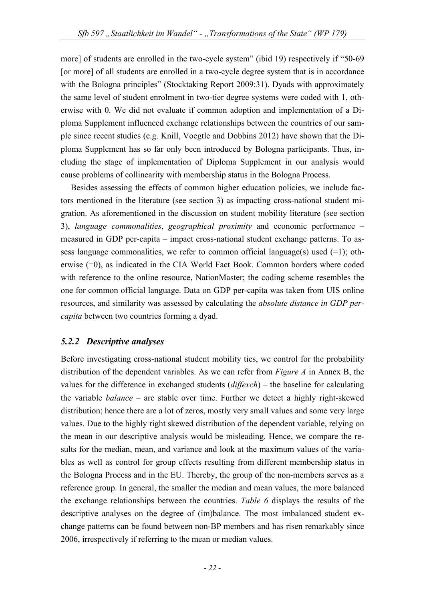more] of students are enrolled in the two-cycle system" (ibid 19) respectively if "50-69 [or more] of all students are enrolled in a two-cycle degree system that is in accordance with the Bologna principles" (Stocktaking Report 2009:31). Dyads with approximately the same level of student enrolment in two-tier degree systems were coded with 1, otherwise with 0. We did not evaluate if common adoption and implementation of a Diploma Supplement influenced exchange relationships between the countries of our sample since recent studies (e.g. Knill, Voegtle and Dobbins 2012) have shown that the Diploma Supplement has so far only been introduced by Bologna participants. Thus, including the stage of implementation of Diploma Supplement in our analysis would cause problems of collinearity with membership status in the Bologna Process.

Besides assessing the effects of common higher education policies, we include factors mentioned in the literature (see section 3) as impacting cross-national student migration. As aforementioned in the discussion on student mobility literature (see section 3), *language commonalities*, *geographical proximity* and economic performance – measured in GDP per-capita – impact cross-national student exchange patterns. To assess language commonalities, we refer to common official language(s) used  $(=1)$ ; otherwise (=0), as indicated in the CIA World Fact Book. Common borders where coded with reference to the online resource, NationMaster; the coding scheme resembles the one for common official language. Data on GDP per-capita was taken from UIS online resources, and similarity was assessed by calculating the *absolute distance in GDP percapita* between two countries forming a dyad.

# *5.2.2 Descriptive analyses*

Before investigating cross-national student mobility ties, we control for the probability distribution of the dependent variables. As we can refer from *Figure A* in Annex B, the values for the difference in exchanged students (*diffexch*) – the baseline for calculating the variable *balance* – are stable over time. Further we detect a highly right-skewed distribution; hence there are a lot of zeros, mostly very small values and some very large values. Due to the highly right skewed distribution of the dependent variable, relying on the mean in our descriptive analysis would be misleading. Hence, we compare the results for the median, mean, and variance and look at the maximum values of the variables as well as control for group effects resulting from different membership status in the Bologna Process and in the EU. Thereby, the group of the non-members serves as a reference group. In general, the smaller the median and mean values, the more balanced the exchange relationships between the countries. *Table 6* displays the results of the descriptive analyses on the degree of (im)balance. The most imbalanced student exchange patterns can be found between non-BP members and has risen remarkably since 2006, irrespectively if referring to the mean or median values.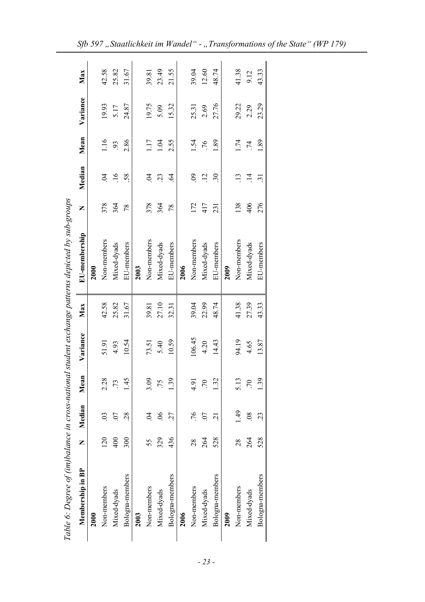| Mean<br>1.16<br>2.86<br>2.55<br>1.17<br>1.54<br>$\ddot{8}$<br>1.74<br>1.04<br>76<br>$\overline{7}$<br>93<br>Median<br>58<br>64<br>$\overline{30}$<br>$\ddot{=}$<br>$\tilde{q}$<br>23<br>$\mathcal{S}$<br>S.<br>$\overline{12}$<br>$\frac{13}{2}$<br>$\overline{14}$<br>406<br>378<br>378<br>138<br>364<br>364<br>172<br>417<br>78<br>78<br>231<br>Z<br>EU-membership<br>Non-members<br>Non-members<br>Non-members<br>Non-members<br>Mixed-dyads<br>EU-members<br>Mixed-dyads<br>EU-members<br>Mixed-dyads<br>EU-members<br>Mixed-dyads<br>2006<br>2000<br>2009<br>2003<br>42.58<br>41.38<br>27.39<br>27.10<br>22.99<br>25.82<br>31.67<br>39.04<br>48.74<br>Max<br>39.81<br>32.31<br>Variance<br>106.45<br>94.19<br>10.59<br>14.43<br>10.54<br>4.65<br>5.40<br>4.20<br>51.91<br>4.93<br>73.51<br>Mean<br>2.28<br>$\overline{32}$<br>$\overline{73}$<br>$\vec{A}$<br>3.09<br>.75<br>$\frac{39}{2}$<br>4.91<br>.70<br>5.13<br>.70<br>Median<br>1.49<br>.76<br>28<br>$\infty$<br>$\overline{08}$<br>$\overline{0}$<br>$\overline{0}$<br>$\widetilde{q}$<br>27<br>$\overline{0}$<br>ಸ<br>Z<br>120<br>436<br>329<br>264<br>528<br>264<br>400<br>300<br>55<br>$\frac{8}{2}$<br>28<br>Membership in BP<br>Bologna-members<br>Bologna-members<br>Bologna-members<br>Non-members<br>Non-members<br>Non-members<br>Non-members<br>Mixed-dyads<br>Mixed-dyads<br>Mixed-dyads<br>Mixed-dyads<br>2006<br>2000<br>2003<br>2009 | Table 6: Degree of (im)balance in cross-national student exchange patterns depicted by sub-groups |     |    |                |       |       |            |     |       |     |          |       |
|-----------------------------------------------------------------------------------------------------------------------------------------------------------------------------------------------------------------------------------------------------------------------------------------------------------------------------------------------------------------------------------------------------------------------------------------------------------------------------------------------------------------------------------------------------------------------------------------------------------------------------------------------------------------------------------------------------------------------------------------------------------------------------------------------------------------------------------------------------------------------------------------------------------------------------------------------------------------------------------------------------------------------------------------------------------------------------------------------------------------------------------------------------------------------------------------------------------------------------------------------------------------------------------------------------------------------------------------------------------------------------------------------------------------|---------------------------------------------------------------------------------------------------|-----|----|----------------|-------|-------|------------|-----|-------|-----|----------|-------|
|                                                                                                                                                                                                                                                                                                                                                                                                                                                                                                                                                                                                                                                                                                                                                                                                                                                                                                                                                                                                                                                                                                                                                                                                                                                                                                                                                                                                                 |                                                                                                   |     |    |                |       |       |            |     |       |     | Variance | Max   |
|                                                                                                                                                                                                                                                                                                                                                                                                                                                                                                                                                                                                                                                                                                                                                                                                                                                                                                                                                                                                                                                                                                                                                                                                                                                                                                                                                                                                                 |                                                                                                   |     |    |                |       |       |            |     |       |     |          |       |
|                                                                                                                                                                                                                                                                                                                                                                                                                                                                                                                                                                                                                                                                                                                                                                                                                                                                                                                                                                                                                                                                                                                                                                                                                                                                                                                                                                                                                 |                                                                                                   |     |    |                |       |       |            |     |       |     | 19.93    | 42.58 |
|                                                                                                                                                                                                                                                                                                                                                                                                                                                                                                                                                                                                                                                                                                                                                                                                                                                                                                                                                                                                                                                                                                                                                                                                                                                                                                                                                                                                                 |                                                                                                   |     |    |                |       |       |            |     |       |     | 5.17     | 25.82 |
|                                                                                                                                                                                                                                                                                                                                                                                                                                                                                                                                                                                                                                                                                                                                                                                                                                                                                                                                                                                                                                                                                                                                                                                                                                                                                                                                                                                                                 |                                                                                                   |     |    |                |       |       |            |     |       |     | 24.87    | 31.67 |
|                                                                                                                                                                                                                                                                                                                                                                                                                                                                                                                                                                                                                                                                                                                                                                                                                                                                                                                                                                                                                                                                                                                                                                                                                                                                                                                                                                                                                 |                                                                                                   |     |    |                |       |       |            |     |       |     |          |       |
|                                                                                                                                                                                                                                                                                                                                                                                                                                                                                                                                                                                                                                                                                                                                                                                                                                                                                                                                                                                                                                                                                                                                                                                                                                                                                                                                                                                                                 |                                                                                                   |     |    |                |       |       |            |     |       |     | 19.75    | 39.81 |
|                                                                                                                                                                                                                                                                                                                                                                                                                                                                                                                                                                                                                                                                                                                                                                                                                                                                                                                                                                                                                                                                                                                                                                                                                                                                                                                                                                                                                 |                                                                                                   |     |    |                |       |       |            |     |       |     | 5.09     | 23.49 |
|                                                                                                                                                                                                                                                                                                                                                                                                                                                                                                                                                                                                                                                                                                                                                                                                                                                                                                                                                                                                                                                                                                                                                                                                                                                                                                                                                                                                                 |                                                                                                   |     |    |                |       |       |            |     |       |     | 15.32    | 21.55 |
|                                                                                                                                                                                                                                                                                                                                                                                                                                                                                                                                                                                                                                                                                                                                                                                                                                                                                                                                                                                                                                                                                                                                                                                                                                                                                                                                                                                                                 |                                                                                                   |     |    |                |       |       |            |     |       |     |          |       |
|                                                                                                                                                                                                                                                                                                                                                                                                                                                                                                                                                                                                                                                                                                                                                                                                                                                                                                                                                                                                                                                                                                                                                                                                                                                                                                                                                                                                                 |                                                                                                   |     |    |                |       |       |            |     |       |     | 25.31    | 39.04 |
|                                                                                                                                                                                                                                                                                                                                                                                                                                                                                                                                                                                                                                                                                                                                                                                                                                                                                                                                                                                                                                                                                                                                                                                                                                                                                                                                                                                                                 |                                                                                                   |     |    |                |       |       |            |     |       |     | 2.69     | 12.60 |
|                                                                                                                                                                                                                                                                                                                                                                                                                                                                                                                                                                                                                                                                                                                                                                                                                                                                                                                                                                                                                                                                                                                                                                                                                                                                                                                                                                                                                 |                                                                                                   |     |    |                |       |       |            |     |       |     | 27.76    | 48.74 |
|                                                                                                                                                                                                                                                                                                                                                                                                                                                                                                                                                                                                                                                                                                                                                                                                                                                                                                                                                                                                                                                                                                                                                                                                                                                                                                                                                                                                                 |                                                                                                   |     |    |                |       |       |            |     |       |     |          |       |
|                                                                                                                                                                                                                                                                                                                                                                                                                                                                                                                                                                                                                                                                                                                                                                                                                                                                                                                                                                                                                                                                                                                                                                                                                                                                                                                                                                                                                 |                                                                                                   |     |    |                |       |       |            |     |       |     | 29.22    | 41.38 |
|                                                                                                                                                                                                                                                                                                                                                                                                                                                                                                                                                                                                                                                                                                                                                                                                                                                                                                                                                                                                                                                                                                                                                                                                                                                                                                                                                                                                                 |                                                                                                   |     |    |                |       |       |            |     |       |     | 2.29     | 9.12  |
|                                                                                                                                                                                                                                                                                                                                                                                                                                                                                                                                                                                                                                                                                                                                                                                                                                                                                                                                                                                                                                                                                                                                                                                                                                                                                                                                                                                                                 | Bologna-members                                                                                   | 528 | 23 | $\frac{39}{2}$ | 13.87 | 43.33 | EU-members | 276 | $\Xi$ | .89 | 23.29    | 43.33 |

*- 23 -*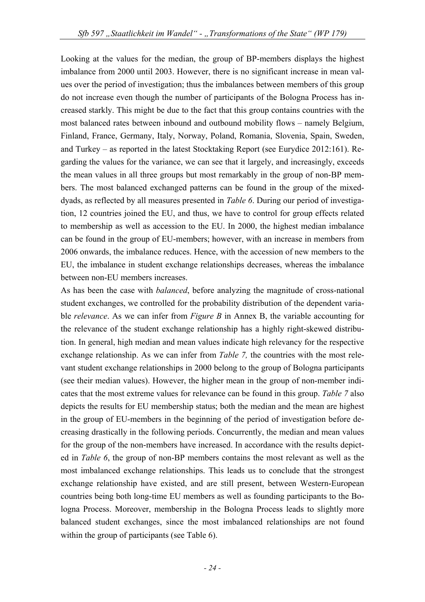Looking at the values for the median, the group of BP-members displays the highest imbalance from 2000 until 2003. However, there is no significant increase in mean values over the period of investigation; thus the imbalances between members of this group do not increase even though the number of participants of the Bologna Process has increased starkly. This might be due to the fact that this group contains countries with the most balanced rates between inbound and outbound mobility flows – namely Belgium, Finland, France, Germany, Italy, Norway, Poland, Romania, Slovenia, Spain, Sweden, and Turkey – as reported in the latest Stocktaking Report (see Eurydice 2012:161). Regarding the values for the variance, we can see that it largely, and increasingly, exceeds the mean values in all three groups but most remarkably in the group of non-BP members. The most balanced exchanged patterns can be found in the group of the mixeddyads, as reflected by all measures presented in *Table 6*. During our period of investigation, 12 countries joined the EU, and thus, we have to control for group effects related to membership as well as accession to the EU. In 2000, the highest median imbalance can be found in the group of EU-members; however, with an increase in members from 2006 onwards, the imbalance reduces. Hence, with the accession of new members to the EU, the imbalance in student exchange relationships decreases, whereas the imbalance between non-EU members increases.

As has been the case with *balanced*, before analyzing the magnitude of cross-national student exchanges, we controlled for the probability distribution of the dependent variable *relevance*. As we can infer from *Figure B* in Annex B, the variable accounting for the relevance of the student exchange relationship has a highly right-skewed distribution. In general, high median and mean values indicate high relevancy for the respective exchange relationship. As we can infer from *Table 7,* the countries with the most relevant student exchange relationships in 2000 belong to the group of Bologna participants (see their median values). However, the higher mean in the group of non-member indicates that the most extreme values for relevance can be found in this group. *Table 7* also depicts the results for EU membership status; both the median and the mean are highest in the group of EU-members in the beginning of the period of investigation before decreasing drastically in the following periods. Concurrently, the median and mean values for the group of the non-members have increased. In accordance with the results depicted in *Table 6*, the group of non-BP members contains the most relevant as well as the most imbalanced exchange relationships. This leads us to conclude that the strongest exchange relationship have existed, and are still present, between Western-European countries being both long-time EU members as well as founding participants to the Bologna Process. Moreover, membership in the Bologna Process leads to slightly more balanced student exchanges, since the most imbalanced relationships are not found within the group of participants (see Table 6).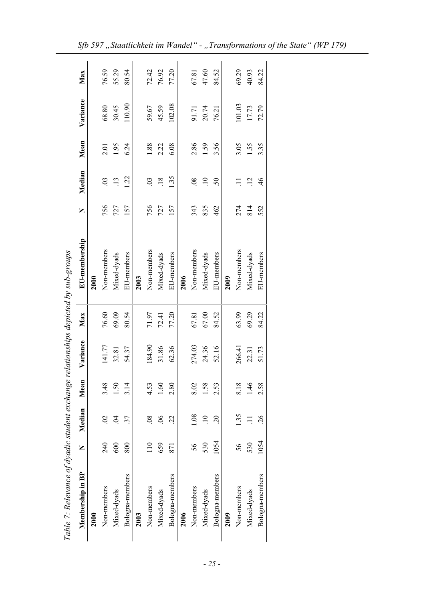| Membership in BP | Z    | Median                | Mean             | Variance | Max   | EU-membership | Z   | Median              | Mean | Variance | Max   |
|------------------|------|-----------------------|------------------|----------|-------|---------------|-----|---------------------|------|----------|-------|
| 2000             |      |                       |                  |          |       | 2000          |     |                     |      |          |       |
|                  |      |                       |                  |          |       |               |     |                     |      |          |       |
| Non-members      | 240  | $\mathcal{S}$         | 3.48             | 141.77   | 76.60 | Non-members   | 756 | $\overline{0}$      | 2.01 | 68.80    | 76.59 |
| Mixed-dyads      | 600  | $\widetilde{q}$       | 1.50             | 32.81    | 69.09 | Mixed-dyads   | 727 | $\ddot{13}$         | 1.95 | 30.45    | 55.29 |
| Bologna-members  | 800  | 37                    | $\frac{3.14}{ }$ | 54.37    | 80.54 | EU-members    | 157 | 1.22                | 6.24 | 110.90   | 80.54 |
| 2003             |      |                       |                  |          |       | 2003          |     |                     |      |          |       |
| Non-members      |      | .08                   | 4.53             | 184.90   | 71.97 | Non-members   | 756 | $\ddot{\mathrm{c}}$ | 1.88 | 59.67    | 72.42 |
| Mixed-dyads      | 659  | $\widetilde{90}$      | $\frac{60}{1}$   | 31.86    | 72.41 | Mixed-dyads   | 727 | $\overline{18}$     | 2.22 | 45.59    | 76.92 |
| Bologna-members  | 871  | $\tilde{\mathcal{L}}$ | 2.80             | 62.36    | 77.20 | EU-members    | 157 | 1.35                | 6.08 | 102.08   | 77.20 |
| 2006             |      |                       |                  |          |       | 2006          |     |                     |      |          |       |
| Non-members      | 56   | 1.08                  | 8.02             | 274.03   | 67.81 | Non-members   | 343 | $\overline{08}$     | 2.86 | 91.71    | 67.81 |
| Mixed-dyads      | 530  | $\Xi$                 | 1.58             | 24.36    | 67.00 | Mixed-dyads   | 835 | $\Xi$               | 1.59 | 20.74    | 47.60 |
| Bologna-members  | 1054 | $\overline{c}$        | 2.53             | 52.16    | 84.52 | EU-members    | 462 | $\overline{50}$     | 3.56 | 76.21    | 84.52 |
| 2009             |      |                       |                  |          |       | 2009          |     |                     |      |          |       |
| Non-members      | 56   | 1.35                  | 8.18             | 266.41   | 63.99 | Non-members   | 274 | $\Xi$               | 3.05 | 101.03   | 69.29 |
| Mixed-dyads      | 530  |                       | 1.46             | 22.31    | 69.29 | Mixed-dyads   | 814 | $\overline{12}$     | 1.55 | 17.73    | 40.93 |
| Bologna-members  | 1054 | 26                    | 2.58             | 51.73    | 84.22 | EU-members    | 552 | $\frac{4}{6}$       | 3.35 | 72.79    | 84.22 |

*- 25 -*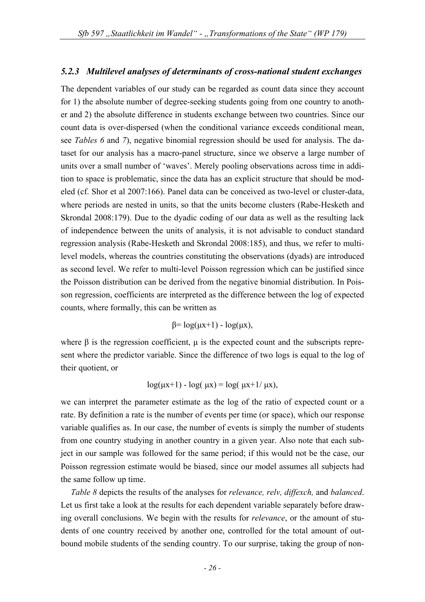## *5.2.3 Multilevel analyses of determinants of cross-national student exchanges*

The dependent variables of our study can be regarded as count data since they account for 1) the absolute number of degree-seeking students going from one country to another and 2) the absolute difference in students exchange between two countries. Since our count data is over-dispersed (when the conditional variance exceeds conditional mean, see *Tables 6* and *7*), negative binomial regression should be used for analysis. The dataset for our analysis has a macro-panel structure, since we observe a large number of units over a small number of 'waves'. Merely pooling observations across time in addition to space is problematic, since the data has an explicit structure that should be modeled (cf. Shor et al 2007:166). Panel data can be conceived as two-level or cluster-data, where periods are nested in units, so that the units become clusters (Rabe-Hesketh and Skrondal 2008:179). Due to the dyadic coding of our data as well as the resulting lack of independence between the units of analysis, it is not advisable to conduct standard regression analysis (Rabe-Hesketh and Skrondal 2008:185), and thus, we refer to multilevel models, whereas the countries constituting the observations (dyads) are introduced as second level. We refer to multi-level Poisson regression which can be justified since the Poisson distribution can be derived from the negative binomial distribution. In Poisson regression, coefficients are interpreted as the difference between the log of expected counts, where formally, this can be written as

$$
\beta = \log(\mu x + 1) - \log(\mu x),
$$

where  $\beta$  is the regression coefficient,  $\mu$  is the expected count and the subscripts represent where the predictor variable. Since the difference of two logs is equal to the log of their quotient, or

$$
log(\mu x+1) - log(\mu x) = log(\mu x+1/\mu x),
$$

we can interpret the parameter estimate as the log of the ratio of expected count or a rate. By definition a rate is the number of events per time (or space), which our response variable qualifies as. In our case, the number of events is simply the number of students from one country studying in another country in a given year. Also note that each subject in our sample was followed for the same period; if this would not be the case, our Poisson regression estimate would be biased, since our model assumes all subjects had the same follow up time.

*Table 8* depicts the results of the analyses for *relevance, relv, diffexch,* and *balanced*. Let us first take a look at the results for each dependent variable separately before drawing overall conclusions. We begin with the results for *relevance*, or the amount of students of one country received by another one, controlled for the total amount of outbound mobile students of the sending country. To our surprise, taking the group of non-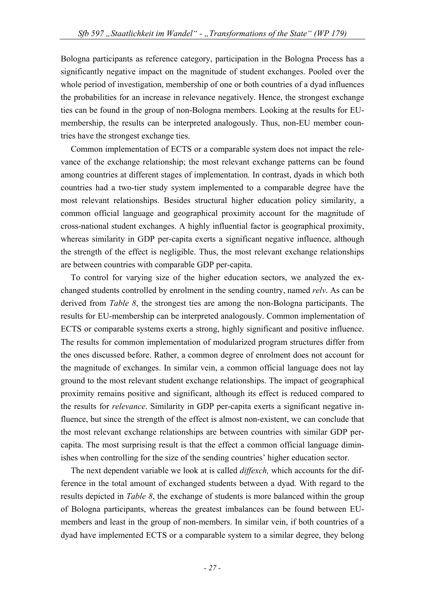Bologna participants as reference category, participation in the Bologna Process has a significantly negative impact on the magnitude of student exchanges. Pooled over the whole period of investigation, membership of one or both countries of a dyad influences the probabilities for an increase in relevance negatively. Hence, the strongest exchange ties can be found in the group of non-Bologna members. Looking at the results for EUmembership, the results can be interpreted analogously. Thus, non-EU member countries have the strongest exchange ties.

Common implementation of ECTS or a comparable system does not impact the relevance of the exchange relationship; the most relevant exchange patterns can be found among countries at different stages of implementation. In contrast, dyads in which both countries had a two-tier study system implemented to a comparable degree have the most relevant relationships. Besides structural higher education policy similarity, a common official language and geographical proximity account for the magnitude of cross-national student exchanges. A highly influential factor is geographical proximity, whereas similarity in GDP per-capita exerts a significant negative influence, although the strength of the effect is negligible. Thus, the most relevant exchange relationships are between countries with comparable GDP per-capita.

To control for varying size of the higher education sectors, we analyzed the exchanged students controlled by enrolment in the sending country, named *relv*. As can be derived from *Table 8*, the strongest ties are among the non-Bologna participants. The results for EU-membership can be interpreted analogously. Common implementation of ECTS or comparable systems exerts a strong, highly significant and positive influence. The results for common implementation of modularized program structures differ from the ones discussed before. Rather, a common degree of enrolment does not account for the magnitude of exchanges. In similar vein, a common official language does not lay ground to the most relevant student exchange relationships. The impact of geographical proximity remains positive and significant, although its effect is reduced compared to the results for *relevance*. Similarity in GDP per-capita exerts a significant negative influence, but since the strength of the effect is almost non-existent, we can conclude that the most relevant exchange relationships are between countries with similar GDP percapita. The most surprising result is that the effect a common official language diminishes when controlling for the size of the sending countries' higher education sector.

The next dependent variable we look at is called *diffexch,* which accounts for the difference in the total amount of exchanged students between a dyad. With regard to the results depicted in *Table 8*, the exchange of students is more balanced within the group of Bologna participants, whereas the greatest imbalances can be found between EUmembers and least in the group of non-members. In similar vein, if both countries of a dyad have implemented ECTS or a comparable system to a similar degree, they belong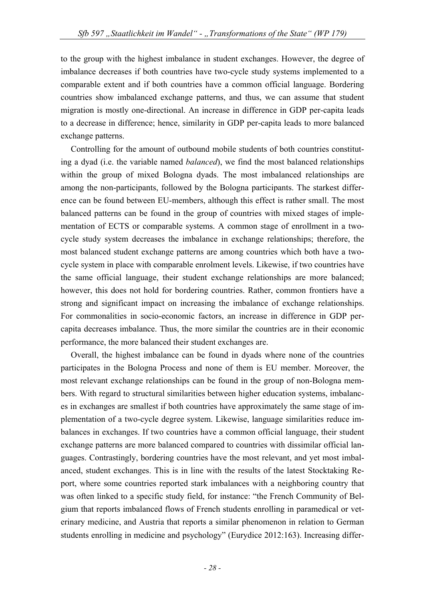to the group with the highest imbalance in student exchanges. However, the degree of imbalance decreases if both countries have two-cycle study systems implemented to a comparable extent and if both countries have a common official language. Bordering countries show imbalanced exchange patterns, and thus, we can assume that student migration is mostly one-directional. An increase in difference in GDP per-capita leads to a decrease in difference; hence, similarity in GDP per-capita leads to more balanced exchange patterns.

Controlling for the amount of outbound mobile students of both countries constituting a dyad (i.e. the variable named *balanced*), we find the most balanced relationships within the group of mixed Bologna dyads. The most imbalanced relationships are among the non-participants, followed by the Bologna participants. The starkest difference can be found between EU-members, although this effect is rather small. The most balanced patterns can be found in the group of countries with mixed stages of implementation of ECTS or comparable systems. A common stage of enrollment in a twocycle study system decreases the imbalance in exchange relationships; therefore, the most balanced student exchange patterns are among countries which both have a twocycle system in place with comparable enrolment levels. Likewise, if two countries have the same official language, their student exchange relationships are more balanced; however, this does not hold for bordering countries. Rather, common frontiers have a strong and significant impact on increasing the imbalance of exchange relationships. For commonalities in socio-economic factors, an increase in difference in GDP percapita decreases imbalance. Thus, the more similar the countries are in their economic performance, the more balanced their student exchanges are.

Overall, the highest imbalance can be found in dyads where none of the countries participates in the Bologna Process and none of them is EU member. Moreover, the most relevant exchange relationships can be found in the group of non-Bologna members. With regard to structural similarities between higher education systems, imbalances in exchanges are smallest if both countries have approximately the same stage of implementation of a two-cycle degree system. Likewise, language similarities reduce imbalances in exchanges. If two countries have a common official language, their student exchange patterns are more balanced compared to countries with dissimilar official languages. Contrastingly, bordering countries have the most relevant, and yet most imbalanced, student exchanges. This is in line with the results of the latest Stocktaking Report, where some countries reported stark imbalances with a neighboring country that was often linked to a specific study field, for instance: "the French Community of Belgium that reports imbalanced flows of French students enrolling in paramedical or veterinary medicine, and Austria that reports a similar phenomenon in relation to German students enrolling in medicine and psychology" (Eurydice 2012:163). Increasing differ-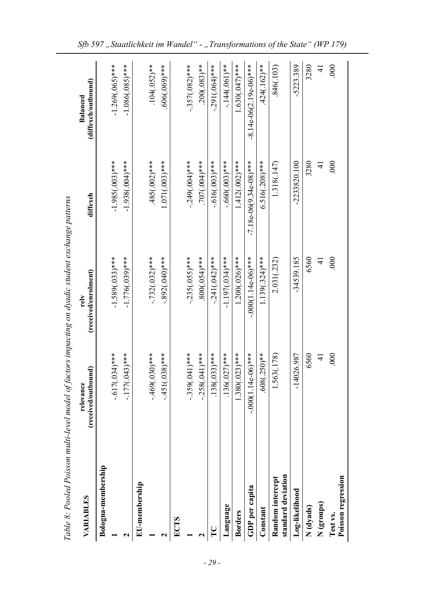|                                        | Table 8: Pooled Poisson multi-level model of factors impacting on dyadic student exchange patterns |                              |                           |                                 |
|----------------------------------------|----------------------------------------------------------------------------------------------------|------------------------------|---------------------------|---------------------------------|
| VARIABLES                              | (received/outbound)<br>relevance                                                                   | (received/enrolment)<br>relv | diffexch                  | (diffexch/outbound)<br>Balanced |
| Bologna-membership                     |                                                                                                    |                              |                           |                                 |
|                                        | $-.617(034)***$                                                                                    | $-1.589(033)$ ***            | $-1.985(003)$ ***         | $-1.269(.065)$ ***              |
|                                        | $-177(043)$ ***                                                                                    | $-1.776(0.039)$ ***          | $-1.938(.004)***$         | $-1.086(.085)$ ***              |
| EU-membership                          |                                                                                                    |                              |                           |                                 |
|                                        | $(30)****$<br>$-469(.0)$                                                                           | $-732(032)***$               | 485(.002)***              | $.104(.052)*$                   |
|                                        | $-451(.038)***$                                                                                    | $-892(.040)***$              | $1.071(003)***$           | 606(.069)***                    |
| ECTS                                   |                                                                                                    |                              |                           |                                 |
|                                        | $-.359(.041)***$                                                                                   | $-235(055)***$               | $-249(00)$ <sup>***</sup> | $-0.357(0.082)$ ***             |
|                                        | $-258(.041)***$                                                                                    | 800(.054)***                 | ***(100.)                 | $.200(.083)**$                  |
| $\Gamma$ C                             | $.138(.033)***$                                                                                    | $-241(042)*$                 | $-616(003)$ ***           | $-0.291(064)$ ***               |
| Language                               | $.136(.027)***$                                                                                    | $-1.197(.034)***$            | $-.660(.003)***$          | $-144(061)*$                    |
| <b>Borders</b>                         | $1.380(.023)***$                                                                                   | $1.200(.026)***$             | $1.412(002)***$           | $1.630(.047)***$                |
| GDP per capita                         | $-0.000(1.14e-0.6)*$                                                                               | $-000(1.14e-06)*$            | $-7.18e-06(9.34e-08)***$  | $8.14e-06(2.19e-06)**$          |
| Constant                               | 608(.250)**                                                                                        | $1.139(.324)***$             | $6.516(.208)***$          | 424(.162)**                     |
| standard deviation<br>Random intercept | 1.563(.178)                                                                                        | 2.031(.232)                  | 1.318(.147)               | 846(.103)                       |
| Log-likelihood                         | 126.987<br>$-140$                                                                                  | $-34539.185$                 | $-2233820.100$            | $-5223.389$                     |
| N (dyads)                              | 6560                                                                                               | 6560                         | 3280                      | 3280                            |
| N (groups)                             | $\overline{4}$                                                                                     | $\overline{4}$               | $\pm$                     | $\overline{4}$                  |
| Test vs.                               | 000                                                                                                | 000                          | 000                       | 000                             |
| Poisson regression                     |                                                                                                    |                              |                           |                                 |

*- 29 -*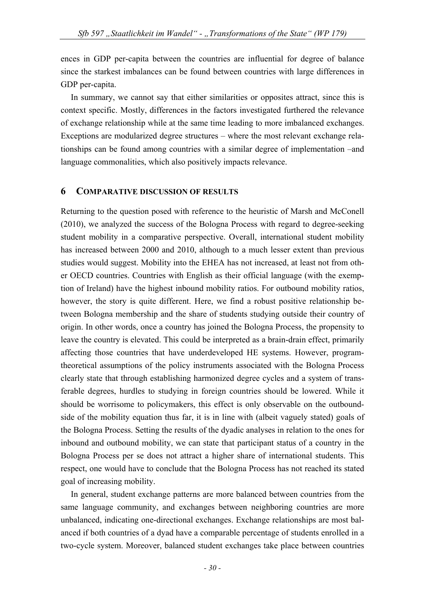ences in GDP per-capita between the countries are influential for degree of balance since the starkest imbalances can be found between countries with large differences in GDP per-capita.

In summary, we cannot say that either similarities or opposites attract, since this is context specific. Mostly, differences in the factors investigated furthered the relevance of exchange relationship while at the same time leading to more imbalanced exchanges. Exceptions are modularized degree structures – where the most relevant exchange relationships can be found among countries with a similar degree of implementation –and language commonalities, which also positively impacts relevance.

### **6 COMPARATIVE DISCUSSION OF RESULTS**

Returning to the question posed with reference to the heuristic of Marsh and McConell (2010), we analyzed the success of the Bologna Process with regard to degree-seeking student mobility in a comparative perspective. Overall, international student mobility has increased between 2000 and 2010, although to a much lesser extent than previous studies would suggest. Mobility into the EHEA has not increased, at least not from other OECD countries. Countries with English as their official language (with the exemption of Ireland) have the highest inbound mobility ratios. For outbound mobility ratios, however, the story is quite different. Here, we find a robust positive relationship between Bologna membership and the share of students studying outside their country of origin. In other words, once a country has joined the Bologna Process, the propensity to leave the country is elevated. This could be interpreted as a brain-drain effect, primarily affecting those countries that have underdeveloped HE systems. However, programtheoretical assumptions of the policy instruments associated with the Bologna Process clearly state that through establishing harmonized degree cycles and a system of transferable degrees, hurdles to studying in foreign countries should be lowered. While it should be worrisome to policymakers, this effect is only observable on the outboundside of the mobility equation thus far, it is in line with (albeit vaguely stated) goals of the Bologna Process. Setting the results of the dyadic analyses in relation to the ones for inbound and outbound mobility, we can state that participant status of a country in the Bologna Process per se does not attract a higher share of international students. This respect, one would have to conclude that the Bologna Process has not reached its stated goal of increasing mobility.

In general, student exchange patterns are more balanced between countries from the same language community, and exchanges between neighboring countries are more unbalanced, indicating one-directional exchanges. Exchange relationships are most balanced if both countries of a dyad have a comparable percentage of students enrolled in a two-cycle system. Moreover, balanced student exchanges take place between countries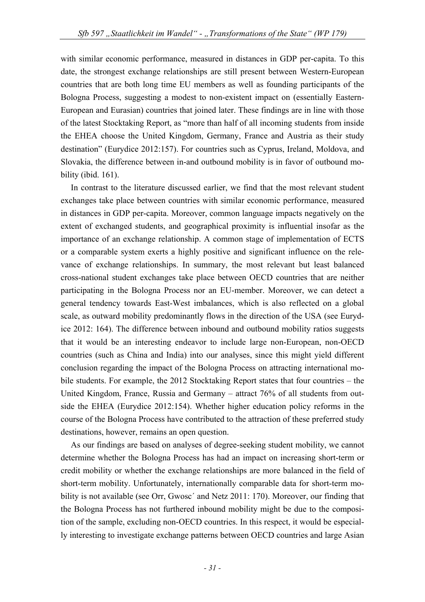with similar economic performance, measured in distances in GDP per-capita. To this date, the strongest exchange relationships are still present between Western-European countries that are both long time EU members as well as founding participants of the Bologna Process, suggesting a modest to non-existent impact on (essentially Eastern-European and Eurasian) countries that joined later. These findings are in line with those of the latest Stocktaking Report, as "more than half of all incoming students from inside the EHEA choose the United Kingdom, Germany, France and Austria as their study destination" (Eurydice 2012:157). For countries such as Cyprus, Ireland, Moldova, and Slovakia, the difference between in-and outbound mobility is in favor of outbound mobility (ibid. 161).

In contrast to the literature discussed earlier, we find that the most relevant student exchanges take place between countries with similar economic performance, measured in distances in GDP per-capita. Moreover, common language impacts negatively on the extent of exchanged students, and geographical proximity is influential insofar as the importance of an exchange relationship. A common stage of implementation of ECTS or a comparable system exerts a highly positive and significant influence on the relevance of exchange relationships. In summary, the most relevant but least balanced cross-national student exchanges take place between OECD countries that are neither participating in the Bologna Process nor an EU-member. Moreover, we can detect a general tendency towards East-West imbalances, which is also reflected on a global scale, as outward mobility predominantly flows in the direction of the USA (see Eurydice 2012: 164). The difference between inbound and outbound mobility ratios suggests that it would be an interesting endeavor to include large non-European, non-OECD countries (such as China and India) into our analyses, since this might yield different conclusion regarding the impact of the Bologna Process on attracting international mobile students. For example, the 2012 Stocktaking Report states that four countries – the United Kingdom, France, Russia and Germany – attract 76% of all students from outside the EHEA (Eurydice 2012:154). Whether higher education policy reforms in the course of the Bologna Process have contributed to the attraction of these preferred study destinations, however, remains an open question.

As our findings are based on analyses of degree-seeking student mobility, we cannot determine whether the Bologna Process has had an impact on increasing short-term or credit mobility or whether the exchange relationships are more balanced in the field of short-term mobility. Unfortunately, internationally comparable data for short-term mobility is not available (see Orr, Gwosc' and Netz 2011: 170). Moreover, our finding that the Bologna Process has not furthered inbound mobility might be due to the composition of the sample, excluding non-OECD countries. In this respect, it would be especially interesting to investigate exchange patterns between OECD countries and large Asian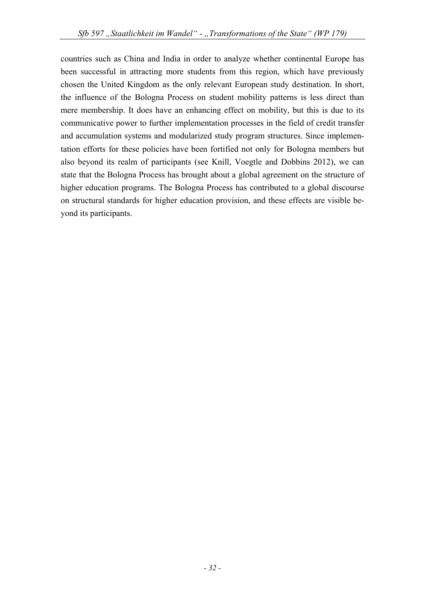countries such as China and India in order to analyze whether continental Europe has been successful in attracting more students from this region, which have previously chosen the United Kingdom as the only relevant European study destination. In short, the influence of the Bologna Process on student mobility patterns is less direct than mere membership. It does have an enhancing effect on mobility, but this is due to its communicative power to further implementation processes in the field of credit transfer and accumulation systems and modularized study program structures. Since implementation efforts for these policies have been fortified not only for Bologna members but also beyond its realm of participants (see Knill, Voegtle and Dobbins 2012), we can state that the Bologna Process has brought about a global agreement on the structure of higher education programs. The Bologna Process has contributed to a global discourse on structural standards for higher education provision, and these effects are visible beyond its participants.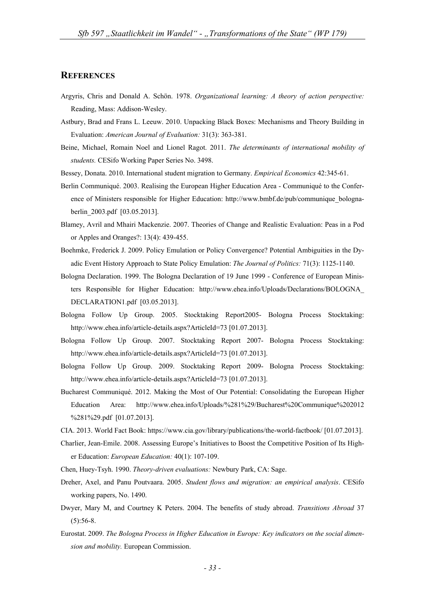#### **REFERENCES**

- Argyris, Chris and Donald A. Schön. 1978. *Organizational learning: A theory of action perspective:* Reading, Mass: Addison-Wesley.
- Astbury, Brad and Frans L. Leeuw. 2010. Unpacking Black Boxes: Mechanisms and Theory Building in Evaluation: *American Journal of Evaluation:* 31(3): 363-381.
- Beine, Michael, Romain Noel and Lionel Ragot. 2011. *The determinants of international mobility of students.* CESifo Working Paper Series No. 3498.
- Bessey, Donata. 2010. International student migration to Germany. *Empirical Economics* 42:345-61.
- Berlin Communiqué. 2003. Realising the European Higher Education Area Communiqué to the Conference of Ministers responsible for Higher Education: http://www.bmbf.de/pub/communique\_bolognaberlin\_2003.pdf [03.05.2013].
- Blamey, Avril and Mhairi Mackenzie. 2007. Theories of Change and Realistic Evaluation: Peas in a Pod or Apples and Oranges?: 13(4): 439-455.
- Boehmke, Frederick J. 2009. Policy Emulation or Policy Convergence? Potential Ambiguities in the Dyadic Event History Approach to State Policy Emulation: *The Journal of Politics:* 71(3): 1125-1140.
- Bologna Declaration. 1999. The Bologna Declaration of 19 June 1999 Conference of European Ministers Responsible for Higher Education: http://www.ehea.info/Uploads/Declarations/BOLOGNA\_ DECLARATION1.pdf [03.05.2013].
- Bologna Follow Up Group. 2005. Stocktaking Report2005- Bologna Process Stocktaking: http://www.ehea.info/article-details.aspx?ArticleId=73 [01.07.2013].
- Bologna Follow Up Group. 2007. Stocktaking Report 2007- Bologna Process Stocktaking: http://www.ehea.info/article-details.aspx?ArticleId=73 [01.07.2013].
- Bologna Follow Up Group. 2009. Stocktaking Report 2009- Bologna Process Stocktaking: http://www.ehea.info/article-details.aspx?ArticleId=73 [01.07.2013].
- Bucharest Communiqué. 2012. Making the Most of Our Potential: Consolidating the European Higher Education Area: http://www.ehea.info/Uploads/%281%29/Bucharest%20Communique%202012 %281%29.pdf [01.07.2013].
- CIA. 2013. World Fact Book: https://www.cia.gov/library/publications/the-world-factbook/ [01.07.2013].
- Charlier, Jean-Emile. 2008. Assessing Europe's Initiatives to Boost the Competitive Position of Its Higher Education: *European Education:* 40(1): 107-109.
- Chen, Huey-Tsyh. 1990. *Theory-driven evaluations:* Newbury Park, CA: Sage.
- Dreher, Axel, and Panu Poutvaara. 2005. *Student flows and migration: an empirical analysis*. CESifo working papers, No. 1490.
- Dwyer, Mary M, and Courtney K Peters. 2004. The benefits of study abroad. *Transitions Abroad* 37  $(5):56-8.$
- Eurostat. 2009. *The Bologna Process in Higher Education in Europe: Key indicators on the social dimension and mobility.* European Commission.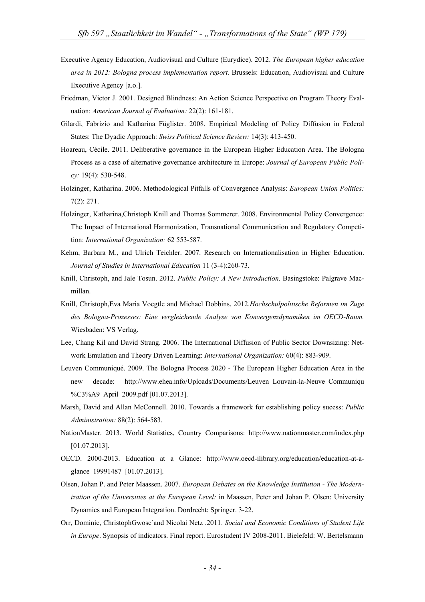- Executive Agency Education, Audiovisual and Culture (Eurydice). 2012. *The European higher education area in 2012: Bologna process implementation report.* Brussels: Education, Audiovisual and Culture Executive Agency [a.o.].
- Friedman, Victor J. 2001. Designed Blindness: An Action Science Perspective on Program Theory Evaluation: *American Journal of Evaluation:* 22(2): 161-181.
- Gilardi, Fabrizio and Katharina Füglister. 2008. Empirical Modeling of Policy Diffusion in Federal States: The Dyadic Approach: *Swiss Political Science Review:* 14(3): 413-450.
- Hoareau, Cécile. 2011. Deliberative governance in the European Higher Education Area. The Bologna Process as a case of alternative governance architecture in Europe: *Journal of European Public Policy:* 19(4): 530-548.
- Holzinger, Katharina. 2006. Methodological Pitfalls of Convergence Analysis: *European Union Politics:* 7(2): 271.
- Holzinger, Katharina,Christoph Knill and Thomas Sommerer. 2008. Environmental Policy Convergence: The Impact of International Harmonization, Transnational Communication and Regulatory Competition: *International Organization:* 62 553-587.
- Kehm, Barbara M., and Ulrich Teichler. 2007. Research on Internationalisation in Higher Education. *Journal of Studies in International Education* 11 (3-4):260-73.
- Knill, Christoph, and Jale Tosun. 2012. *Public Policy: A New Introduction*. Basingstoke: Palgrave Macmillan.
- Knill, Christoph,Eva Maria Voegtle and Michael Dobbins. 2012.*Hochschulpolitische Reformen im Zuge des Bologna-Prozesses: Eine vergleichende Analyse von Konvergenzdynamiken im OECD-Raum.*  Wiesbaden: VS Verlag.
- Lee, Chang Kil and David Strang. 2006. The International Diffusion of Public Sector Downsizing: Network Emulation and Theory Driven Learning: *International Organization:* 60(4): 883-909.
- Leuven Communiqué. 2009. The Bologna Process 2020 The European Higher Education Area in the new decade: http://www.ehea.info/Uploads/Documents/Leuven\_Louvain-la-Neuve\_Communiqu %C3%A9\_April\_2009.pdf [01.07.2013].
- Marsh, David and Allan McConnell. 2010. Towards a framework for establishing policy sucess: *Public Administration:* 88(2): 564-583.
- NationMaster. 2013. World Statistics, Country Comparisons: http://www.nationmaster.com/index.php [01.07.2013].
- OECD. 2000-2013. Education at a Glance: http://www.oecd-ilibrary.org/education/education-at-aglance\_19991487 [01.07.2013].
- Olsen, Johan P. and Peter Maassen. 2007. *European Debates on the Knowledge Institution The Modernization of the Universities at the European Level:* in Maassen, Peter and Johan P. Olsen: University Dynamics and European Integration. Dordrecht: Springer. 3-22.
- Orr, Dominic, ChristophGwosc´and Nicolai Netz .2011. *Social and Economic Conditions of Student Life in Europe*. Synopsis of indicators. Final report. Eurostudent IV 2008-2011. Bielefeld: W. Bertelsmann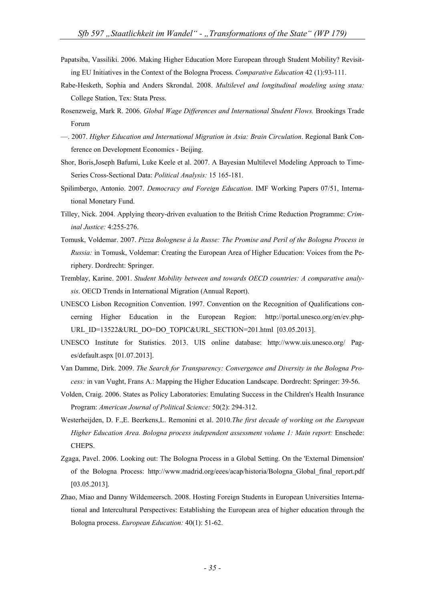- Papatsiba, Vassiliki. 2006. Making Higher Education More European through Student Mobility? Revisiting EU Initiatives in the Context of the Bologna Process. *Comparative Education* 42 (1):93-111.
- Rabe-Hesketh, Sophia and Anders Skrondal. 2008. *Multilevel and longitudinal modeling using stata:* College Station, Tex: Stata Press.
- Rosenzweig, Mark R. 2006. *Global Wage Differences and International Student Flows.* Brookings Trade Forum
- —. 2007. *Higher Education and International Migration in Asia: Brain Circulation*. Regional Bank Conference on Development Economics - Beijing.
- Shor, Boris,Joseph Bafumi, Luke Keele et al. 2007. A Bayesian Multilevel Modeling Approach to Time-Series Cross-Sectional Data: *Political Analysis:* 15 165-181.
- Spilimbergo, Antonio. 2007. *Democracy and Foreign Education*. IMF Working Papers 07/51, International Monetary Fund.
- Tilley, Nick. 2004. Applying theory-driven evaluation to the British Crime Reduction Programme: *Criminal Justice:* 4:255-276.
- Tomusk, Voldemar. 2007. *Pizza Bolognese à la Russe: The Promise and Peril of the Bologna Process in Russia:* in Tomusk, Voldemar: Creating the European Area of Higher Education: Voices from the Periphery. Dordrecht: Springer.
- Tremblay, Karine. 2001. *Student Mobility between and towards OECD countries: A comparative analysis*. OECD Trends in International Migration (Annual Report).
- UNESCO Lisbon Recognition Convention. 1997. Convention on the Recognition of Qualifications concerning Higher Education in the European Region: http://portal.unesco.org/en/ev.php-URL\_ID=13522&URL\_DO=DO\_TOPIC&URL\_SECTION=201.html [03.05.2013].
- UNESCO Institute for Statistics. 2013. UIS online database: http://www.uis.unesco.org/ Pages/default.aspx [01.07.2013].
- Van Damme, Dirk. 2009. *The Search for Transparency: Convergence and Diversity in the Bologna Process:* in van Vught, Frans A.: Mapping the Higher Education Landscape. Dordrecht: Springer: 39-56.
- Volden, Craig. 2006. States as Policy Laboratories: Emulating Success in the Children's Health Insurance Program: *American Journal of Political Science:* 50(2): 294-312.
- Westerheijden, D. F.,E. Beerkens,L. Remonini et al. 2010.*The first decade of working on the European Higher Education Area. Bologna process independent assessment volume 1: Main report:* Enschede: CHEPS.
- Zgaga, Pavel. 2006. Looking out: The Bologna Process in a Global Setting. On the 'External Dimension' of the Bologna Process: http://www.madrid.org/eees/acap/historia/Bologna\_Global\_final\_report.pdf [03.05.2013].
- Zhao, Miao and Danny Wildemeersch. 2008. Hosting Foreign Students in European Universities International and Intercultural Perspectives: Establishing the European area of higher education through the Bologna process. *European Education:* 40(1): 51-62.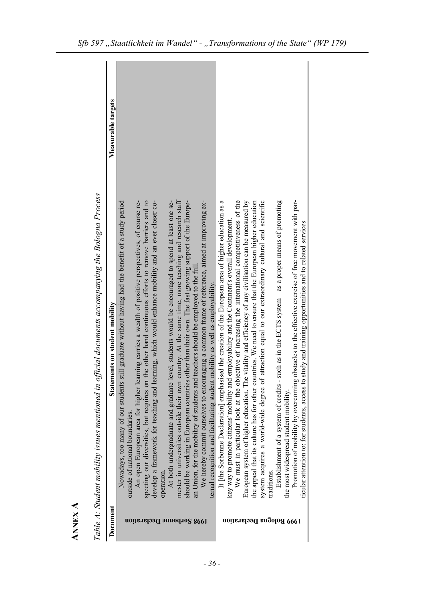| Document                  | Statements on student mobility                                                                                                           | Measurable targets |
|---------------------------|------------------------------------------------------------------------------------------------------------------------------------------|--------------------|
|                           | still graduate without having had the benefit of a study period<br>Nowadays, too many of our students<br>outside of national boundaries. |                    |
|                           | An open European area for higher learning carries a wealth of positive perspectives, of course re-                                       |                    |
|                           | 1 the other hand continuous efforts to remove barriers and to<br>specting our diversities, but requires or                               |                    |
| 1998 Sorbonne Declaration | develop a framework for teaching and learning, which would enhance mobility and an ever closer co-<br>operation.                         |                    |
|                           | At both undergraduate and graduate level, students would be encouraged to spend at least one se-                                         |                    |
|                           | i country. At the same time, more teaching and research staff<br>mester in universities outside their own                                |                    |
|                           | should be working in European countries other than their own. The fast growing support of the Europe-                                    |                    |
|                           | d teachers should be employed to the full.<br>an Union, for the mobility of students an                                                  |                    |
|                           | We hereby commit ourselves to encouraging a common frame of reference, aimed at improving ex-                                            |                    |
|                           | t mobility as well as employability.<br>ternal recognition and facilitating studen                                                       |                    |
|                           | It [the Sorbonne Declaration] emphasised the creation of the European area of higher education as a                                      |                    |
| 1999 Bologna Declaration  | key way to promote citizens' mobility and employability and the Continent's overall development.                                         |                    |
|                           | We must in particular look at the objective of increasing the international competitiveness of the                                       |                    |
|                           | European system of higher education. The vitality and efficiency of any civilisation can be measured by                                  |                    |
|                           | the appeal that its culture has for other countries. We need to ensure that the European higher education                                |                    |
|                           | of attraction equal to our extraordinary cultural and scientific<br>system acquires a world-wide degree o                                |                    |
|                           | traditions                                                                                                                               |                    |
|                           | such as in the ECTS system - as a proper means of promoting<br>Establishment of a system of credits                                      |                    |
|                           | the most widespread student mobility.                                                                                                    |                    |
|                           | g obstacles to the effective exercise of free movement with par-<br>Promotion of mobility by overcomin                                   |                    |
|                           | o study and training opportunities and to related services<br>ticular attention to: for students, access t                               |                    |
|                           |                                                                                                                                          |                    |

**ANNEX A** 

**ANNEX A**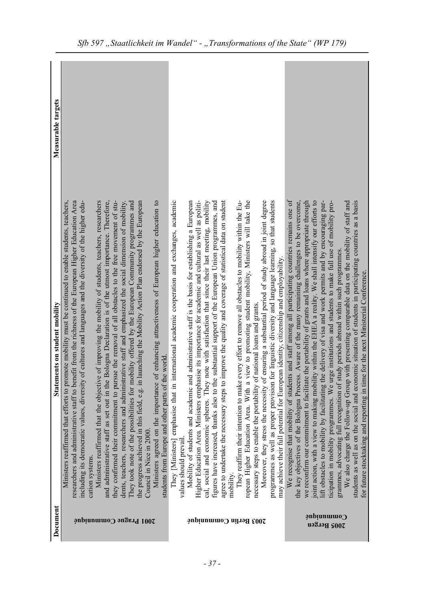| Document                  | Statements on student mobility                                                                                                                                                                                                                                                                                                                                                                                                                                                                                                                                                                                                                                                                                                                                                                                                                                                                                                                                                                                                                                                                                                                                                                                                                                                                                 | Measurable targets |
|---------------------------|----------------------------------------------------------------------------------------------------------------------------------------------------------------------------------------------------------------------------------------------------------------------------------------------------------------------------------------------------------------------------------------------------------------------------------------------------------------------------------------------------------------------------------------------------------------------------------------------------------------------------------------------------------------------------------------------------------------------------------------------------------------------------------------------------------------------------------------------------------------------------------------------------------------------------------------------------------------------------------------------------------------------------------------------------------------------------------------------------------------------------------------------------------------------------------------------------------------------------------------------------------------------------------------------------------------|--------------------|
| 2001 Prague Communiqué    | and administrative staff as set out in the Bologna Declaration is of the utmost importance. Therefore,<br>they confirmed their commitment to pursue the removal of all obstacles to the free movement of stu-<br>omote mobility must be continued to enable students, teachers,<br>researchers and administrative staff to benefit from the richness of the European Higher Education Area<br>e of improving the mobility of students, teachers, researchers<br>They took note of the possibilities for mobility offered by the European Community programmes and<br>launching the Mobility Action Plan endorsed by the European<br>of enhancing attractiveness of European higher education to<br>of cultures and languages and the diversity of the higher edu-<br>dents, teachers, researchers and administrative staff and emphasized the social dimension of mobility.<br>students from Europe and other parts of the world<br>including its democratic values, diversity<br>Ministers reaffirmed that the objectiv<br>the progress achieved in this field, e.g. in<br>Ministers reaffirmed that efforts to pr<br>Ministers agreed on the importance<br>Council in Nice in 2000.<br>cation systems.                                                                                                       |                    |
| 2003 Berlin Communiqué    | improve the quality and coverage of statistical data on student<br>for linguistic diversity and language learning, so that students<br>Higher Education Area. Ministers emphasise its importance for academic and cultural as well as politi-<br>note with satisfaction that since their last meeting, mobility<br>every effort to remove all obstacles to mobility within the Eu-<br>view to promoting student mobility, Ministers will take the<br>Moreover, they stress the necessity of ensuring a substantial period of study abroad in joint degree<br>international academic cooperation and exchanges, academic<br>figures have increased, thanks also to the substantial support of the European Union programmes, and<br>nd administrative staff is the basis for establishing a European<br>may achieve their full potential for European identity, citizenship and employability.<br>necessary steps to enable the portability of national loans and grants.<br>They reaffirm their intention to make<br>Mobility of students and academic ar<br>agree to undertake the necessary steps to<br>cal, social and economic spheres. They<br>programmes as well as proper provision<br>ropean Higher Education Area. With a<br>They [Ministers] emphasise that in<br>values should prevail<br>mobility. |                    |
| Communiqué<br>2005 Bergen | nts and staff among all participating countries remains one of<br>students as well as on the social and economic situation of students in participating countries as a basis<br>te the portability of grants and loans where appropriate through<br>ity within the EHEA a reality. We shall intensify our efforts to<br>lift obstacles to mobility by facilitating the delivery of visa and work permits and by encouraging par-<br>We also charge the Follow-up Group with presenting comparable data on the mobility of staff and<br>the key objectives of the Bologna Process. Aware of the many remaining challenges to be overcome,<br>ticipation in mobility programmes. We urge institutions and students to make full use of mobility pro-<br>grammes, advocating full recognition of study periods abroad within such programmes.<br>for future stocktaking and reporting in time for the next Ministerial Conference.<br>We recognise that mobility of studer<br>joint action, with a view to making mobil<br>we reconfirm our commitment to facilitat                                                                                                                                                                                                                                               |                    |

*- 37 -*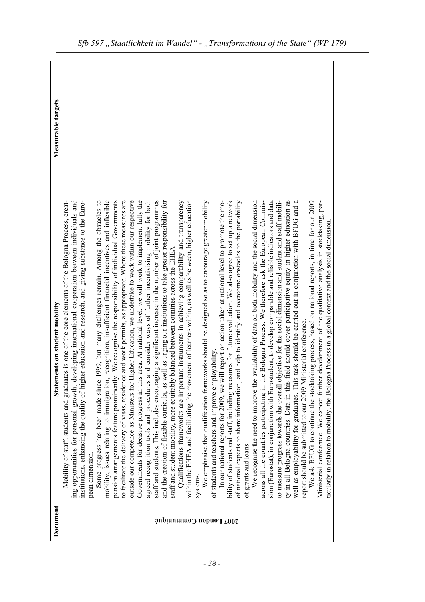| field should cover participative equity in higher education as<br>well as employability for graduates. This task should be carried out in conjunction with BFUG and a<br>We ask BFUG to continue the stocktaking process, based on national reports, in time for our 2009<br>within the EHEA and facilitating the movement of learners within, as well as between, higher education<br>availability of data on both mobility and the social dimension<br>sion (Eurostat), in conjunction with Eurostudent, to develop comparable and reliable indicators and data<br>to measure progress towards the overall objective for the social dimension and student and staff mobili-<br>We emphasise that qualification frameworks should be designed so as to encourage greater mobility<br>In our national reports for 2009, we will report on action taken at national level to promote the mo-<br>bility of students and staff, including measures for future evaluation. We also agree to set up a network<br>and help to identify and overcome obstacles to the portability<br>e Bologna Process. We therefore ask the European Commis-<br>inisterial conference.<br>of students and teachers and improve employability.<br>We recognise the need to improve the<br>across all the countries participating in the<br>of national experts to share information,<br>report should be submitted to our 2009 M<br>ty in all Bologna countries. Data in this<br>of grants and loans.<br>systems. |
|--------------------------------------------------------------------------------------------------------------------------------------------------------------------------------------------------------------------------------------------------------------------------------------------------------------------------------------------------------------------------------------------------------------------------------------------------------------------------------------------------------------------------------------------------------------------------------------------------------------------------------------------------------------------------------------------------------------------------------------------------------------------------------------------------------------------------------------------------------------------------------------------------------------------------------------------------------------------------------------------------------------------------------------------------------------------------------------------------------------------------------------------------------------------------------------------------------------------------------------------------------------------------------------------------------------------------------------------------------------------------------------------------------------------------------------------------------------------------------------------|
|--------------------------------------------------------------------------------------------------------------------------------------------------------------------------------------------------------------------------------------------------------------------------------------------------------------------------------------------------------------------------------------------------------------------------------------------------------------------------------------------------------------------------------------------------------------------------------------------------------------------------------------------------------------------------------------------------------------------------------------------------------------------------------------------------------------------------------------------------------------------------------------------------------------------------------------------------------------------------------------------------------------------------------------------------------------------------------------------------------------------------------------------------------------------------------------------------------------------------------------------------------------------------------------------------------------------------------------------------------------------------------------------------------------------------------------------------------------------------------------------|

*- 38 -*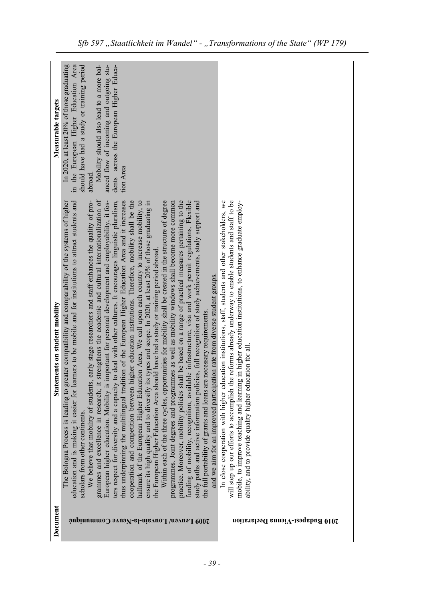| Document                                | nents on student mobility<br><b>Staten</b>                                                                                                                                                                                                                                                                                                                                                                                                                                                                                                                                                                                                                                                                                                                                                                                                                                                                                                                                                                                                                                                                                                                                                                                                                                                                                                                                                                                                                                                                                                                                                                                                                                                                                                                                                                                                                                                                                                           | Measurable targets                                                                                                                                                                                                                                                                          |
|-----------------------------------------|------------------------------------------------------------------------------------------------------------------------------------------------------------------------------------------------------------------------------------------------------------------------------------------------------------------------------------------------------------------------------------------------------------------------------------------------------------------------------------------------------------------------------------------------------------------------------------------------------------------------------------------------------------------------------------------------------------------------------------------------------------------------------------------------------------------------------------------------------------------------------------------------------------------------------------------------------------------------------------------------------------------------------------------------------------------------------------------------------------------------------------------------------------------------------------------------------------------------------------------------------------------------------------------------------------------------------------------------------------------------------------------------------------------------------------------------------------------------------------------------------------------------------------------------------------------------------------------------------------------------------------------------------------------------------------------------------------------------------------------------------------------------------------------------------------------------------------------------------------------------------------------------------------------------------------------------------|---------------------------------------------------------------------------------------------------------------------------------------------------------------------------------------------------------------------------------------------------------------------------------------------|
| 2009 Leuven/Louvain-la-Neuve Communiqué | strengthens the academic and cultural internationalization of<br>mportant for personal development and employability, it fos-<br>mers to be mobile and for institutions to attract students and<br>hallmark of the European Higher Education Area. We call upon each country to increase mobility, to<br>The Bologna Process is leading to greater compatibility and comparability of the systems of higher<br>early stage researchers and staff enhances the quality of pro-<br>thus underpinning the multilingual tradition of the European Higher Education Area and it increases<br>ensure its high quality and to diversify its types and scope. In 2020, at least 20% of those graduating in<br>practice. Moreover, mobility policies shall be based on a range of practical measures pertaining to the<br>funding of mobility, recognition, available infrastructure, visa and work permit regulations. Flexible<br>to deal with other cultures. It encourages linguistic pluralism,<br>gher education institutions. Therefore, mobility shall be the<br>tunities for mobility shall be created in the structure of degree<br>programmes. Joint degrees and programmes as well as mobility windows shall become more common<br>es, full recognition of study achievements, study support and<br>the European Higher Education Area should have had a study or training period abroad.<br>ion rate from diverse student groups.<br>necessary requirements<br>Within each of the three cycles, oppor<br>cooperation and competition between hi<br>study paths and active information polici<br>the full portability of grants and loans are<br>and we aim for an improved participat<br>education and is making it easier for lea<br>ters respect for diversity and a capacity<br>We believe that mobility of students.<br>European higher education. Mobility is i<br>grammes and excellence in research; it<br>scholars from other continents | In 2020, at least 20% of those graduating<br>should have had a study or training period<br>Mobility should also lead to a more bal-<br>anced flow of incoming and outgoing stu-<br>dents across the European Higher Educa-<br>in the European Higher Education Area<br>tion Area<br>abroad. |
| 2010 Budapest-Vienna Declaration        | will step up our efforts to accomplish the reforms already underway to enable students and staff to be<br>In close cooperation with higher education institutions, staff, students and other stakeholders, we<br>in higher education institutions, to enhance graduate employ-<br>ation for all<br>mobile, to improve teaching and learning<br>ability, and to provide quality higher educ                                                                                                                                                                                                                                                                                                                                                                                                                                                                                                                                                                                                                                                                                                                                                                                                                                                                                                                                                                                                                                                                                                                                                                                                                                                                                                                                                                                                                                                                                                                                                           |                                                                                                                                                                                                                                                                                             |

*- 39 -*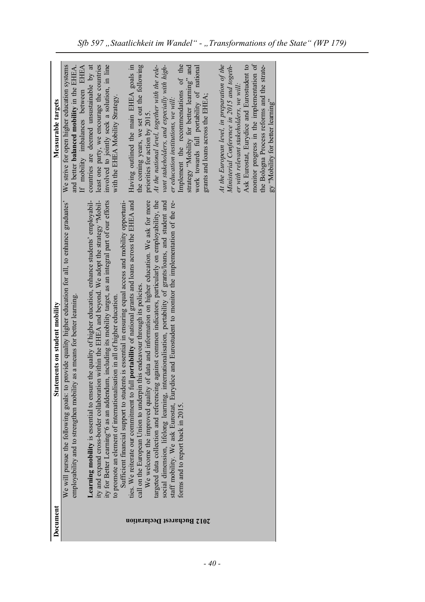| Document                   | Statements on student mobility                                                                                                                                                                                         | Measurable targets                                                                                                              |
|----------------------------|------------------------------------------------------------------------------------------------------------------------------------------------------------------------------------------------------------------------|---------------------------------------------------------------------------------------------------------------------------------|
|                            | We will pursue the following goals: to provide quality higher education for all, to enhance graduates'<br>employability and to strengthen mobility as a means for better learning.                                     | We strive for open higher education systems<br>and better balanced mobility in the EHEA.<br>If mobility imbalances between EHEA |
|                            | he quality of higher education, enhance students' employabil-<br>within the EHEA and beyond. We adopt the strategy "Mobil-<br>Learning mobility is essential to ensure ti<br>ity and expand cross-border collaboration | countries are deemed unsustainable by at<br>least one party, we encourage the countries                                         |
|                            | including its mobility target, as an integral part of our efforts<br>to promote an element of internationalisation in all of higher education.<br>ity for Better Learning 6 as an addendum.                            | involved to jointly seek a solution, in line<br>with the EHEA Mobility Strategy.                                                |
|                            | oortability of national grants and loans across the EHEA and<br>Sufficient financial support to students is essential in ensuring equal access and mobility opportuni-<br>ties. We reiterate our commitment to full    | Having outlined the main EHEA goals in                                                                                          |
|                            | data and information on higher education. We ask for more<br>call on the European Union to underpin this endeavour through its policies.<br>We welcome the improved quality of                                         | the coming years, we set out the following<br>priorities for action by 2015.                                                    |
| 2012 Bucharest Declaration | targeted data collection and referencing against common indicators, particularly on employability, the<br>social dimension, lifelong learning, internationalisation, portability of grants/loans, and student and      | At the national level, together with the rele-<br>vant stakeholders, and especially with high-                                  |
|                            | staff mobility. We ask Eurostat, Eurydice and Eurostudent to monitor the implementation of the re-                                                                                                                     | er education institutions, we will:                                                                                             |
|                            | forms and to report back in 2015.                                                                                                                                                                                      | Implement the recommendations of the                                                                                            |
|                            |                                                                                                                                                                                                                        | strategy "Mobility for better learning" and<br>work towards full portability of national                                        |
|                            |                                                                                                                                                                                                                        | grants and loans across the EHEA;                                                                                               |
|                            |                                                                                                                                                                                                                        | At the European level, in preparation of the                                                                                    |
|                            |                                                                                                                                                                                                                        | Ministerial Conference in 2015 and togeth-<br>er with relevant stakeholders, we will:                                           |
|                            |                                                                                                                                                                                                                        | Ask Eurostat, Eurydice and Eurostudent to                                                                                       |
|                            |                                                                                                                                                                                                                        | monitor progress in the implementation of                                                                                       |
|                            |                                                                                                                                                                                                                        | the Bologna Process reforms and the strate-                                                                                     |
|                            |                                                                                                                                                                                                                        | gy "Mobility for better learning"                                                                                               |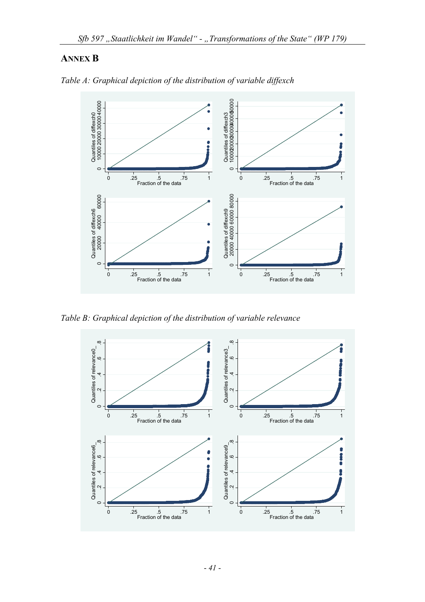# **ANNEX B**



*Table A: Graphical depiction of the distribution of variable diffexch* 

*Table B: Graphical depiction of the distribution of variable relevance*